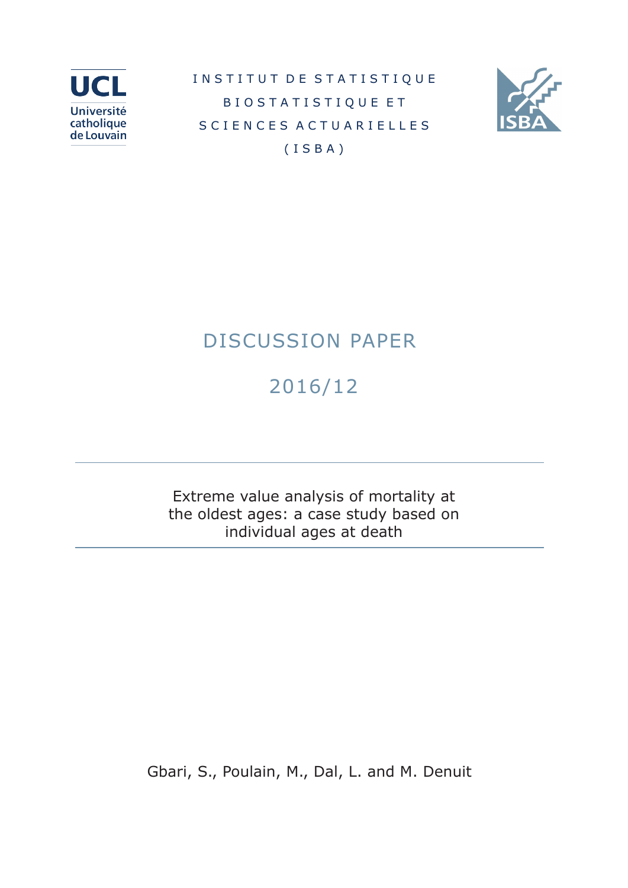

IN STITUT DE STATISTIQUE B I O S T A T I S T I Q U E E T S C I E N C E S A C T U A R I E L L E S ( I S B A )



# DISCUSSION PAPER

# 2016/12

## Extreme value analysis of mortality at the oldest ages: a case study based on individual ages at death

Gbari, S., Poulain, M., Dal, L. and M. Denuit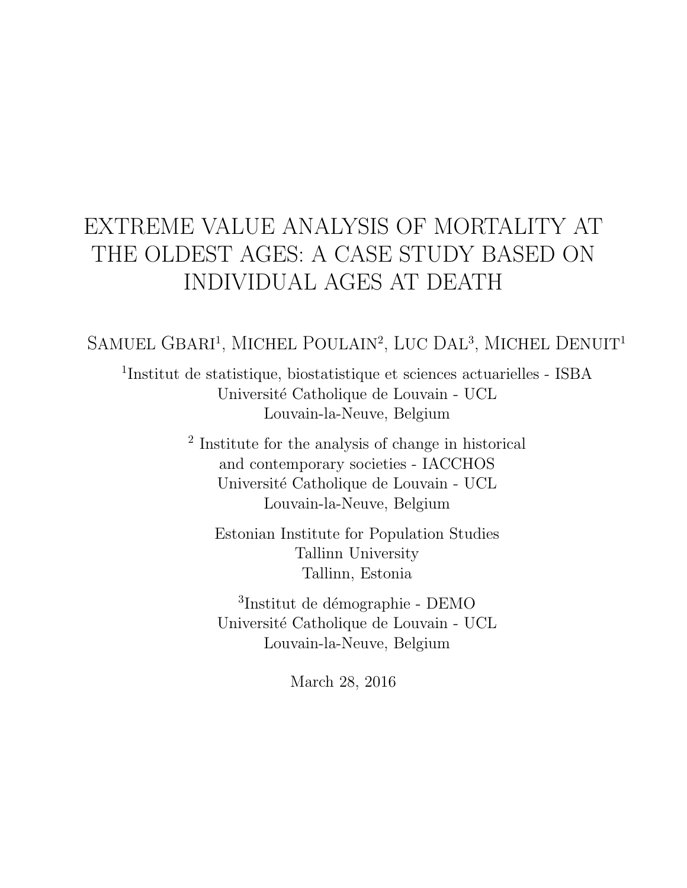# EXTREME VALUE ANALYSIS OF MORTALITY AT THE OLDEST AGES: A CASE STUDY BASED ON INDIVIDUAL AGES AT DEATH

## SAMUEL GBARI<sup>1</sup>, MICHEL POULAIN<sup>2</sup>, LUC DAL<sup>3</sup>, MICHEL DENUIT<sup>1</sup>

1 Institut de statistique, biostatistique et sciences actuarielles - ISBA Universit´e Catholique de Louvain - UCL Louvain-la-Neuve, Belgium

> 2 Institute for the analysis of change in historical and contemporary societies - IACCHOS Universit´e Catholique de Louvain - UCL Louvain-la-Neuve, Belgium

Estonian Institute for Population Studies Tallinn University Tallinn, Estonia

<sup>3</sup>Institut de démographie - DEMO Universit´e Catholique de Louvain - UCL Louvain-la-Neuve, Belgium

March 28, 2016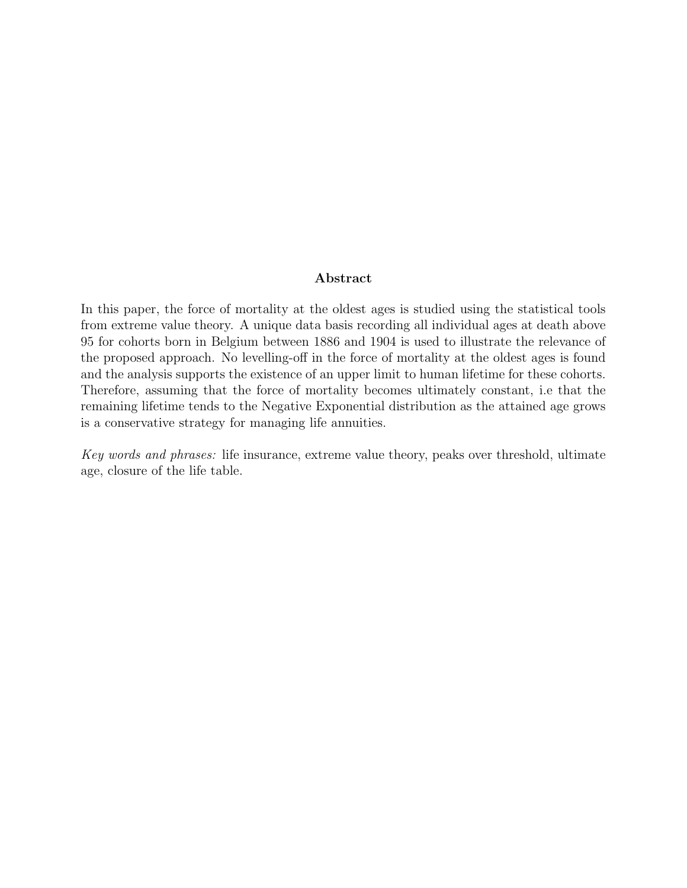#### Abstract

In this paper, the force of mortality at the oldest ages is studied using the statistical tools from extreme value theory. A unique data basis recording all individual ages at death above 95 for cohorts born in Belgium between 1886 and 1904 is used to illustrate the relevance of the proposed approach. No levelling-off in the force of mortality at the oldest ages is found and the analysis supports the existence of an upper limit to human lifetime for these cohorts. Therefore, assuming that the force of mortality becomes ultimately constant, i.e that the remaining lifetime tends to the Negative Exponential distribution as the attained age grows is a conservative strategy for managing life annuities.

Key words and phrases: life insurance, extreme value theory, peaks over threshold, ultimate age, closure of the life table.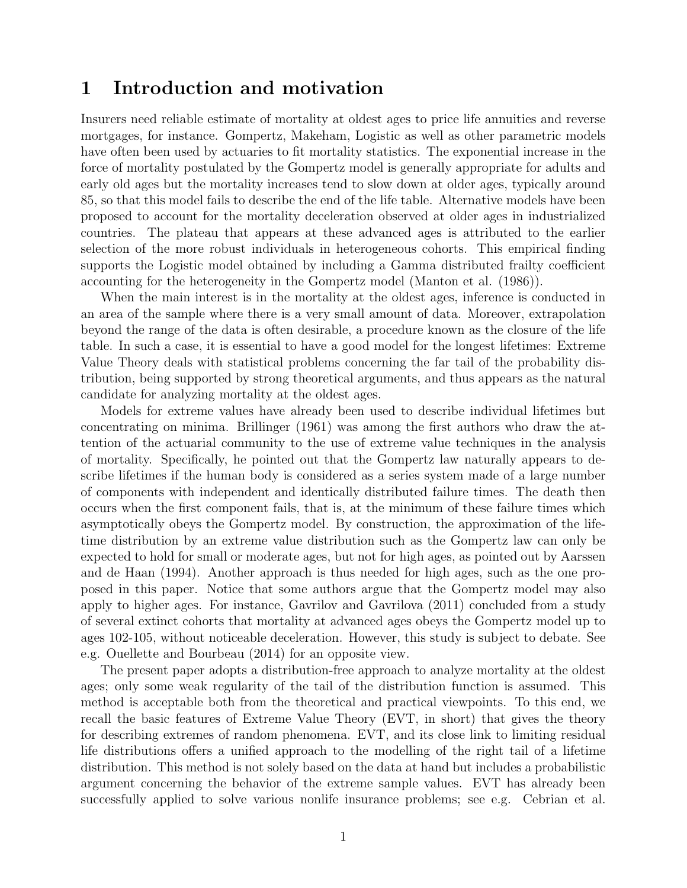### 1 Introduction and motivation

Insurers need reliable estimate of mortality at oldest ages to price life annuities and reverse mortgages, for instance. Gompertz, Makeham, Logistic as well as other parametric models have often been used by actuaries to fit mortality statistics. The exponential increase in the force of mortality postulated by the Gompertz model is generally appropriate for adults and early old ages but the mortality increases tend to slow down at older ages, typically around 85, so that this model fails to describe the end of the life table. Alternative models have been proposed to account for the mortality deceleration observed at older ages in industrialized countries. The plateau that appears at these advanced ages is attributed to the earlier selection of the more robust individuals in heterogeneous cohorts. This empirical finding supports the Logistic model obtained by including a Gamma distributed frailty coefficient accounting for the heterogeneity in the Gompertz model (Manton et al. (1986)).

When the main interest is in the mortality at the oldest ages, inference is conducted in an area of the sample where there is a very small amount of data. Moreover, extrapolation beyond the range of the data is often desirable, a procedure known as the closure of the life table. In such a case, it is essential to have a good model for the longest lifetimes: Extreme Value Theory deals with statistical problems concerning the far tail of the probability distribution, being supported by strong theoretical arguments, and thus appears as the natural candidate for analyzing mortality at the oldest ages.

Models for extreme values have already been used to describe individual lifetimes but concentrating on minima. Brillinger (1961) was among the first authors who draw the attention of the actuarial community to the use of extreme value techniques in the analysis of mortality. Specifically, he pointed out that the Gompertz law naturally appears to describe lifetimes if the human body is considered as a series system made of a large number of components with independent and identically distributed failure times. The death then occurs when the first component fails, that is, at the minimum of these failure times which asymptotically obeys the Gompertz model. By construction, the approximation of the lifetime distribution by an extreme value distribution such as the Gompertz law can only be expected to hold for small or moderate ages, but not for high ages, as pointed out by Aarssen and de Haan (1994). Another approach is thus needed for high ages, such as the one proposed in this paper. Notice that some authors argue that the Gompertz model may also apply to higher ages. For instance, Gavrilov and Gavrilova (2011) concluded from a study of several extinct cohorts that mortality at advanced ages obeys the Gompertz model up to ages 102-105, without noticeable deceleration. However, this study is subject to debate. See e.g. Ouellette and Bourbeau (2014) for an opposite view.

The present paper adopts a distribution-free approach to analyze mortality at the oldest ages; only some weak regularity of the tail of the distribution function is assumed. This method is acceptable both from the theoretical and practical viewpoints. To this end, we recall the basic features of Extreme Value Theory (EVT, in short) that gives the theory for describing extremes of random phenomena. EVT, and its close link to limiting residual life distributions offers a unified approach to the modelling of the right tail of a lifetime distribution. This method is not solely based on the data at hand but includes a probabilistic argument concerning the behavior of the extreme sample values. EVT has already been successfully applied to solve various nonlife insurance problems; see e.g. Cebrian et al.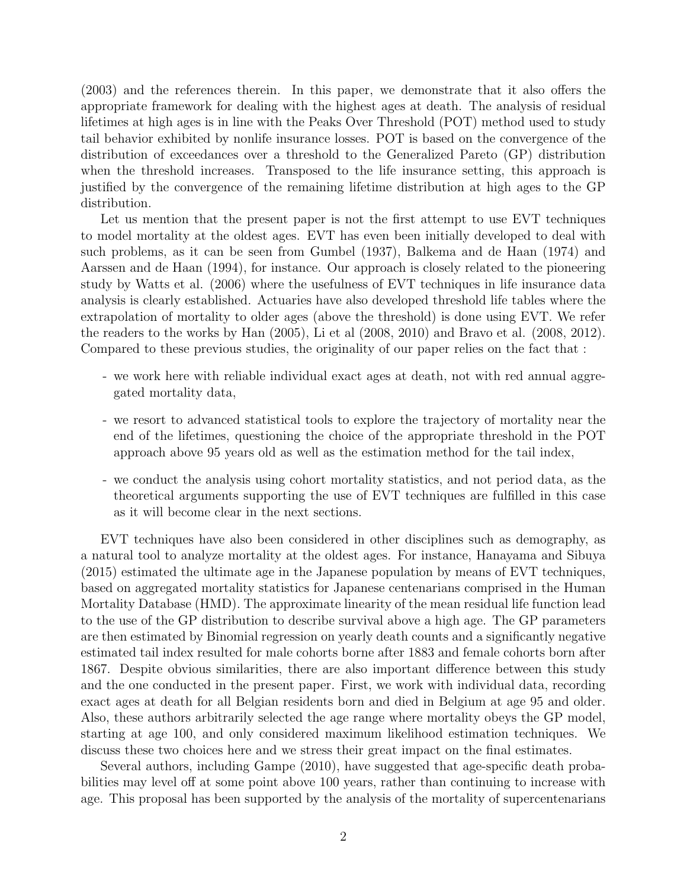(2003) and the references therein. In this paper, we demonstrate that it also offers the appropriate framework for dealing with the highest ages at death. The analysis of residual lifetimes at high ages is in line with the Peaks Over Threshold (POT) method used to study tail behavior exhibited by nonlife insurance losses. POT is based on the convergence of the distribution of exceedances over a threshold to the Generalized Pareto (GP) distribution when the threshold increases. Transposed to the life insurance setting, this approach is justified by the convergence of the remaining lifetime distribution at high ages to the GP distribution.

Let us mention that the present paper is not the first attempt to use EVT techniques to model mortality at the oldest ages. EVT has even been initially developed to deal with such problems, as it can be seen from Gumbel (1937), Balkema and de Haan (1974) and Aarssen and de Haan (1994), for instance. Our approach is closely related to the pioneering study by Watts et al. (2006) where the usefulness of EVT techniques in life insurance data analysis is clearly established. Actuaries have also developed threshold life tables where the extrapolation of mortality to older ages (above the threshold) is done using EVT. We refer the readers to the works by Han (2005), Li et al (2008, 2010) and Bravo et al. (2008, 2012). Compared to these previous studies, the originality of our paper relies on the fact that :

- we work here with reliable individual exact ages at death, not with red annual aggregated mortality data,
- we resort to advanced statistical tools to explore the trajectory of mortality near the end of the lifetimes, questioning the choice of the appropriate threshold in the POT approach above 95 years old as well as the estimation method for the tail index,
- we conduct the analysis using cohort mortality statistics, and not period data, as the theoretical arguments supporting the use of EVT techniques are fulfilled in this case as it will become clear in the next sections.

EVT techniques have also been considered in other disciplines such as demography, as a natural tool to analyze mortality at the oldest ages. For instance, Hanayama and Sibuya (2015) estimated the ultimate age in the Japanese population by means of EVT techniques, based on aggregated mortality statistics for Japanese centenarians comprised in the Human Mortality Database (HMD). The approximate linearity of the mean residual life function lead to the use of the GP distribution to describe survival above a high age. The GP parameters are then estimated by Binomial regression on yearly death counts and a significantly negative estimated tail index resulted for male cohorts borne after 1883 and female cohorts born after 1867. Despite obvious similarities, there are also important difference between this study and the one conducted in the present paper. First, we work with individual data, recording exact ages at death for all Belgian residents born and died in Belgium at age 95 and older. Also, these authors arbitrarily selected the age range where mortality obeys the GP model, starting at age 100, and only considered maximum likelihood estimation techniques. We discuss these two choices here and we stress their great impact on the final estimates.

Several authors, including Gampe (2010), have suggested that age-specific death probabilities may level off at some point above 100 years, rather than continuing to increase with age. This proposal has been supported by the analysis of the mortality of supercentenarians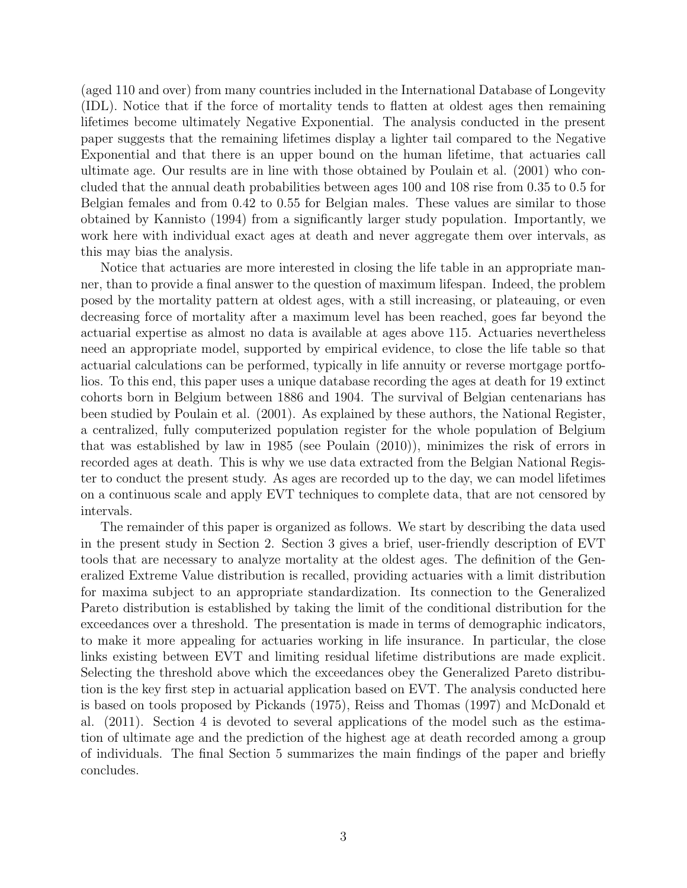(aged 110 and over) from many countries included in the International Database of Longevity (IDL). Notice that if the force of mortality tends to flatten at oldest ages then remaining lifetimes become ultimately Negative Exponential. The analysis conducted in the present paper suggests that the remaining lifetimes display a lighter tail compared to the Negative Exponential and that there is an upper bound on the human lifetime, that actuaries call ultimate age. Our results are in line with those obtained by Poulain et al. (2001) who concluded that the annual death probabilities between ages 100 and 108 rise from 0.35 to 0.5 for Belgian females and from 0.42 to 0.55 for Belgian males. These values are similar to those obtained by Kannisto (1994) from a significantly larger study population. Importantly, we work here with individual exact ages at death and never aggregate them over intervals, as this may bias the analysis.

Notice that actuaries are more interested in closing the life table in an appropriate manner, than to provide a final answer to the question of maximum lifespan. Indeed, the problem posed by the mortality pattern at oldest ages, with a still increasing, or plateauing, or even decreasing force of mortality after a maximum level has been reached, goes far beyond the actuarial expertise as almost no data is available at ages above 115. Actuaries nevertheless need an appropriate model, supported by empirical evidence, to close the life table so that actuarial calculations can be performed, typically in life annuity or reverse mortgage portfolios. To this end, this paper uses a unique database recording the ages at death for 19 extinct cohorts born in Belgium between 1886 and 1904. The survival of Belgian centenarians has been studied by Poulain et al. (2001). As explained by these authors, the National Register, a centralized, fully computerized population register for the whole population of Belgium that was established by law in 1985 (see Poulain (2010)), minimizes the risk of errors in recorded ages at death. This is why we use data extracted from the Belgian National Register to conduct the present study. As ages are recorded up to the day, we can model lifetimes on a continuous scale and apply EVT techniques to complete data, that are not censored by intervals.

The remainder of this paper is organized as follows. We start by describing the data used in the present study in Section 2. Section 3 gives a brief, user-friendly description of EVT tools that are necessary to analyze mortality at the oldest ages. The definition of the Generalized Extreme Value distribution is recalled, providing actuaries with a limit distribution for maxima subject to an appropriate standardization. Its connection to the Generalized Pareto distribution is established by taking the limit of the conditional distribution for the exceedances over a threshold. The presentation is made in terms of demographic indicators, to make it more appealing for actuaries working in life insurance. In particular, the close links existing between EVT and limiting residual lifetime distributions are made explicit. Selecting the threshold above which the exceedances obey the Generalized Pareto distribution is the key first step in actuarial application based on EVT. The analysis conducted here is based on tools proposed by Pickands (1975), Reiss and Thomas (1997) and McDonald et al. (2011). Section 4 is devoted to several applications of the model such as the estimation of ultimate age and the prediction of the highest age at death recorded among a group of individuals. The final Section 5 summarizes the main findings of the paper and briefly concludes.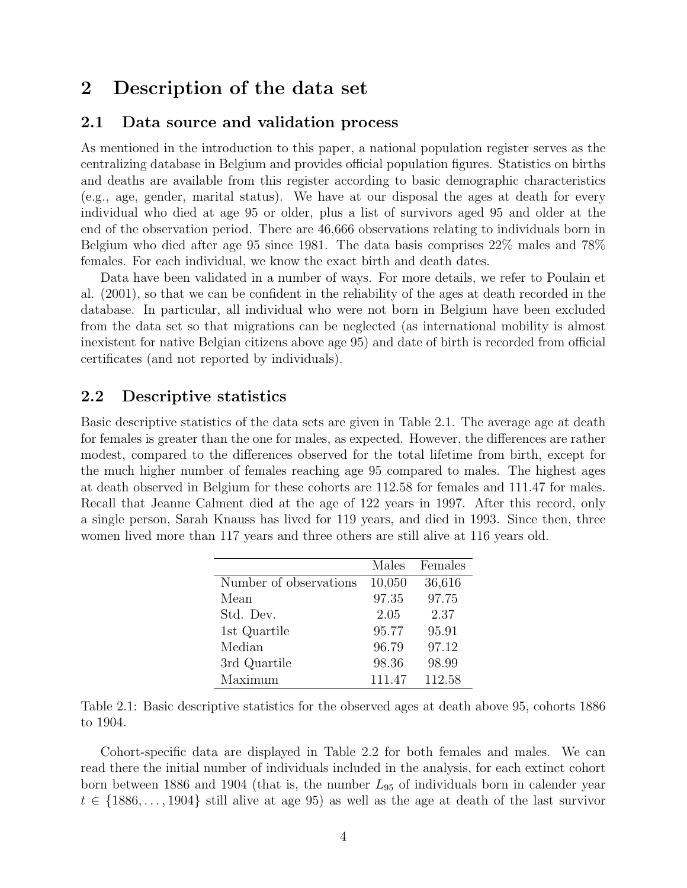### 2 Description of the data set

#### 2.1 Data source and validation process

As mentioned in the introduction to this paper, a national population register serves as the centralizing database in Belgium and provides official population figures. Statistics on births and deaths are available from this register according to basic demographic characteristics (e.g., age, gender, marital status). We have at our disposal the ages at death for every individual who died at age 95 or older, plus a list of survivors aged 95 and older at the end of the observation period. There are 46,666 observations relating to individuals born in Belgium who died after age 95 since 1981. The data basis comprises 22% males and 78% females. For each individual, we know the exact birth and death dates.

Data have been validated in a number of ways. For more details, we refer to Poulain et al. (2001), so that we can be confident in the reliability of the ages at death recorded in the database. In particular, all individual who were not born in Belgium have been excluded from the data set so that migrations can be neglected (as international mobility is almost inexistent for native Belgian citizens above age 95) and date of birth is recorded from official certificates (and not reported by individuals).

#### 2.2 Descriptive statistics

Basic descriptive statistics of the data sets are given in Table 2.1. The average age at death for females is greater than the one for males, as expected. However, the differences are rather modest, compared to the differences observed for the total lifetime from birth, except for the much higher number of females reaching age 95 compared to males. The highest ages at death observed in Belgium for these cohorts are 112.58 for females and 111.47 for males. Recall that Jeanne Calment died at the age of 122 years in 1997. After this record, only a single person, Sarah Knauss has lived for 119 years, and died in 1993. Since then, three women lived more than 117 years and three others are still alive at 116 years old.

|                        | Males  | Females |
|------------------------|--------|---------|
| Number of observations | 10,050 | 36,616  |
| Mean                   | 97.35  | 97.75   |
| Std. Dev.              | 2.05   | 2.37    |
| 1st Quartile           | 95.77  | 95.91   |
| Median                 | 96.79  | 97.12   |
| 3rd Quartile           | 98.36  | 98.99   |
| Maximum                | 111.47 | 112.58  |

Table 2.1: Basic descriptive statistics for the observed ages at death above 95, cohorts 1886 to 1904.

Cohort-specific data are displayed in Table 2.2 for both females and males. We can read there the initial number of individuals included in the analysis, for each extinct cohort born between 1886 and 1904 (that is, the number  $L_{95}$  of individuals born in calender year  $t \in \{1886,\ldots,1904\}$  still alive at age 95) as well as the age at death of the last survivor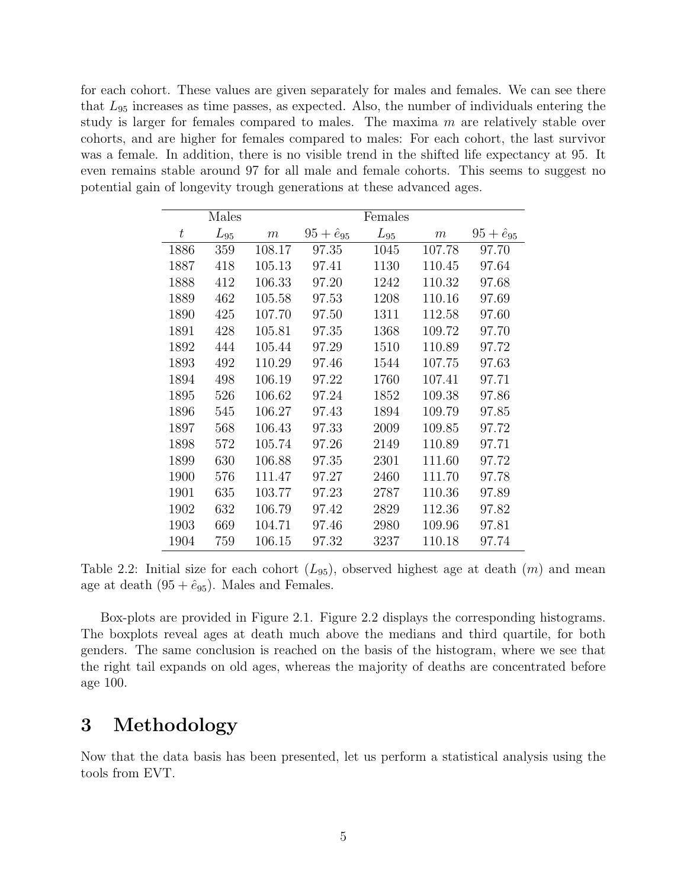for each cohort. These values are given separately for males and females. We can see there that  $L_{95}$  increases as time passes, as expected. Also, the number of individuals entering the study is larger for females compared to males. The maxima  $m$  are relatively stable over cohorts, and are higher for females compared to males: For each cohort, the last survivor was a female. In addition, there is no visible trend in the shifted life expectancy at 95. It even remains stable around 97 for all male and female cohorts. This seems to suggest no potential gain of longevity trough generations at these advanced ages.

|                  | Males    |                  |                     | Females  |        |                     |
|------------------|----------|------------------|---------------------|----------|--------|---------------------|
| $\boldsymbol{t}$ | $L_{95}$ | $\boldsymbol{m}$ | $95 + \hat{e}_{95}$ | $L_{95}$ | $\,m$  | $95 + \hat{e}_{95}$ |
| 1886             | 359      | 108.17           | 97.35               | 1045     | 107.78 | 97.70               |
| 1887             | 418      | 105.13           | 97.41               | 1130     | 110.45 | 97.64               |
| 1888             | 412      | 106.33           | 97.20               | 1242     | 110.32 | 97.68               |
| 1889             | 462      | 105.58           | 97.53               | 1208     | 110.16 | 97.69               |
| 1890             | 425      | 107.70           | 97.50               | 1311     | 112.58 | 97.60               |
| 1891             | 428      | 105.81           | 97.35               | 1368     | 109.72 | 97.70               |
| 1892             | 444      | 105.44           | 97.29               | 1510     | 110.89 | 97.72               |
| 1893             | 492      | 110.29           | 97.46               | 1544     | 107.75 | 97.63               |
| 1894             | 498      | 106.19           | 97.22               | 1760     | 107.41 | 97.71               |
| 1895             | 526      | 106.62           | 97.24               | 1852     | 109.38 | 97.86               |
| 1896             | 545      | 106.27           | 97.43               | 1894     | 109.79 | 97.85               |
| 1897             | 568      | 106.43           | 97.33               | 2009     | 109.85 | 97.72               |
| 1898             | 572      | 105.74           | 97.26               | 2149     | 110.89 | 97.71               |
| 1899             | 630      | 106.88           | 97.35               | 2301     | 111.60 | 97.72               |
| 1900             | 576      | 111.47           | 97.27               | 2460     | 111.70 | 97.78               |
| 1901             | 635      | 103.77           | 97.23               | 2787     | 110.36 | 97.89               |
| 1902             | 632      | 106.79           | 97.42               | 2829     | 112.36 | 97.82               |
| 1903             | 669      | 104.71           | 97.46               | 2980     | 109.96 | 97.81               |
| 1904             | 759      | 106.15           | 97.32               | 3237     | 110.18 | 97.74               |

Table 2.2: Initial size for each cohort  $(L_{95})$ , observed highest age at death  $(m)$  and mean age at death  $(95 + \hat{e}_{95})$ . Males and Females.

Box-plots are provided in Figure 2.1. Figure 2.2 displays the corresponding histograms. The boxplots reveal ages at death much above the medians and third quartile, for both genders. The same conclusion is reached on the basis of the histogram, where we see that the right tail expands on old ages, whereas the majority of deaths are concentrated before age 100.

### 3 Methodology

Now that the data basis has been presented, let us perform a statistical analysis using the tools from EVT.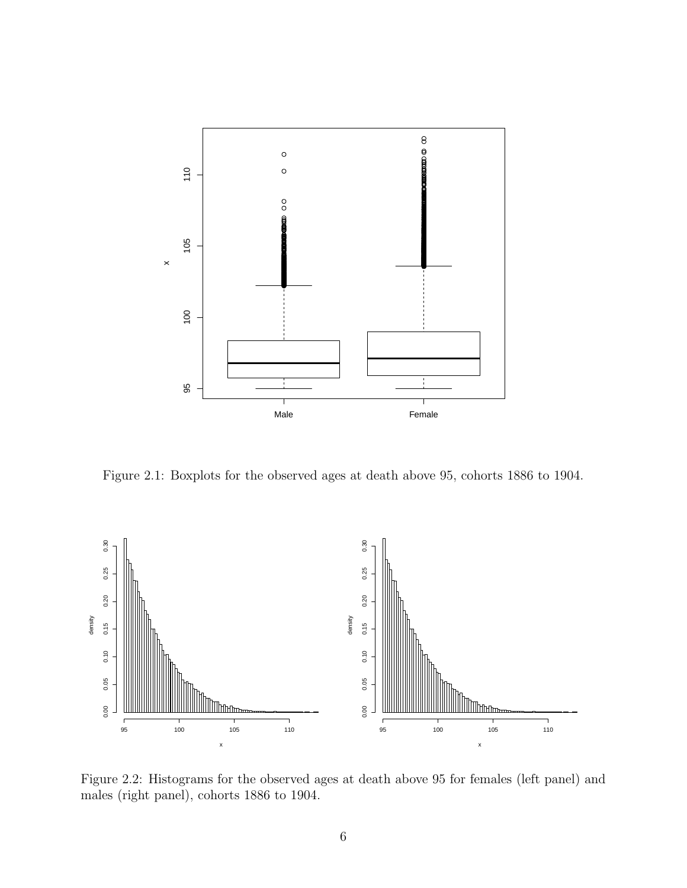

Figure 2.1: Boxplots for the observed ages at death above 95, cohorts 1886 to 1904.



Figure 2.2: Histograms for the observed ages at death above 95 for females (left panel) and males (right panel), cohorts 1886 to 1904.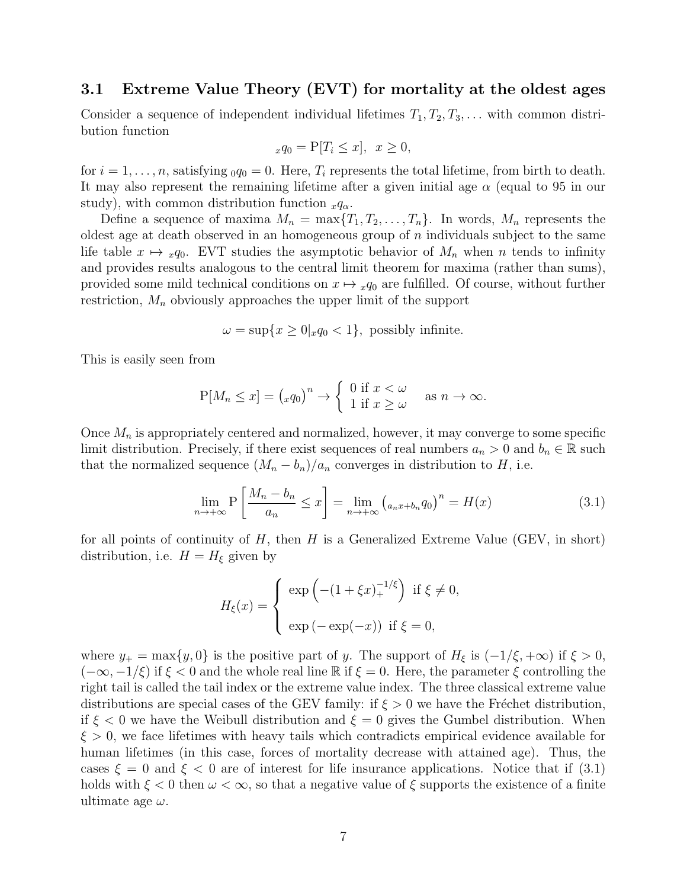### 3.1 Extreme Value Theory (EVT) for mortality at the oldest ages

Consider a sequence of independent individual lifetimes  $T_1, T_2, T_3, \ldots$  with common distribution function

$$
_xq_0 = \mathbf{P}[T_i \le x], \ \ x \ge 0,
$$

for  $i = 1, \ldots, n$ , satisfying  $_0q_0 = 0$ . Here,  $T_i$  represents the total lifetime, from birth to death. It may also represent the remaining lifetime after a given initial age  $\alpha$  (equal to 95 in our study), with common distribution function  $_xq_\alpha$ .

Define a sequence of maxima  $M_n = \max\{T_1, T_2, \ldots, T_n\}$ . In words,  $M_n$  represents the oldest age at death observed in an homogeneous group of  $n$  individuals subject to the same life table  $x \mapsto xq_0$ . EVT studies the asymptotic behavior of  $M_n$  when n tends to infinity and provides results analogous to the central limit theorem for maxima (rather than sums), provided some mild technical conditions on  $x \mapsto xq_0$  are fulfilled. Of course, without further restriction,  $M_n$  obviously approaches the upper limit of the support

 $\omega = \sup\{x \geq 0 | x q_0 < 1\}$ , possibly infinite.

This is easily seen from

$$
P[M_n \le x] = (xq_0)^n \to \begin{cases} 0 \text{ if } x < \omega \\ 1 \text{ if } x \ge \omega \end{cases} \text{ as } n \to \infty.
$$

Once  $M_n$  is appropriately centered and normalized, however, it may converge to some specific limit distribution. Precisely, if there exist sequences of real numbers  $a_n > 0$  and  $b_n \in \mathbb{R}$  such that the normalized sequence  $(M_n - b_n)/a_n$  converges in distribution to H, i.e.

$$
\lim_{n \to +\infty} P\left[\frac{M_n - b_n}{a_n} \le x\right] = \lim_{n \to +\infty} \left(a_{n} x + b_n q_0\right)^n = H(x) \tag{3.1}
$$

for all points of continuity of  $H$ , then  $H$  is a Generalized Extreme Value (GEV, in short) distribution, i.e.  $H = H_{\xi}$  given by

$$
H_{\xi}(x) = \begin{cases} \exp\left(-(1+\xi x)^{-1/\xi}\right) & \text{if } \xi \neq 0, \\ \exp\left(-\exp(-x)\right) & \text{if } \xi = 0, \end{cases}
$$

where  $y_+ = \max\{y, 0\}$  is the positive part of y. The support of  $H_\xi$  is  $(-1/\xi, +\infty)$  if  $\xi > 0$ ,  $(-\infty, -1/\xi)$  if  $\xi < 0$  and the whole real line R if  $\xi = 0$ . Here, the parameter  $\xi$  controlling the right tail is called the tail index or the extreme value index. The three classical extreme value distributions are special cases of the GEV family: if  $\xi > 0$  we have the Fréchet distribution, if  $\xi < 0$  we have the Weibull distribution and  $\xi = 0$  gives the Gumbel distribution. When  $\xi > 0$ , we face lifetimes with heavy tails which contradicts empirical evidence available for human lifetimes (in this case, forces of mortality decrease with attained age). Thus, the cases  $\xi = 0$  and  $\xi < 0$  are of interest for life insurance applications. Notice that if (3.1) holds with  $\xi < 0$  then  $\omega < \infty$ , so that a negative value of  $\xi$  supports the existence of a finite ultimate age  $\omega$ .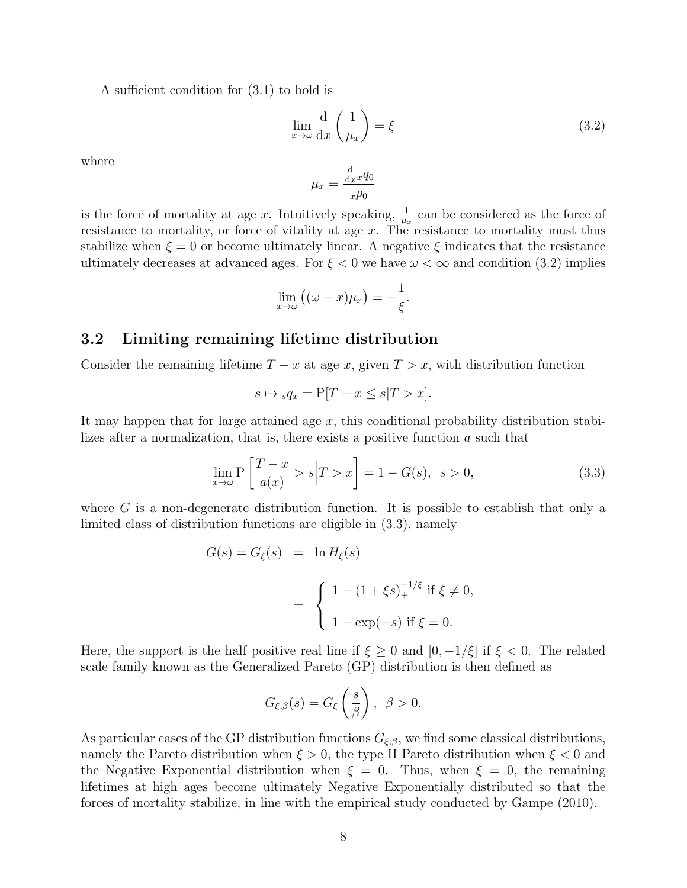A sufficient condition for (3.1) to hold is

$$
\lim_{x \to \omega} \frac{\mathrm{d}}{\mathrm{d}x} \left( \frac{1}{\mu_x} \right) = \xi \tag{3.2}
$$

where

$$
\mu_x = \frac{\frac{d}{dx}xq_0}{xp_0}
$$

is the force of mortality at age x. Intuitively speaking,  $\frac{1}{\mu_x}$  can be considered as the force of resistance to mortality, or force of vitality at age x. The resistance to mortality must thus stabilize when  $\xi = 0$  or become ultimately linear. A negative  $\xi$  indicates that the resistance ultimately decreases at advanced ages. For  $\xi < 0$  we have  $\omega < \infty$  and condition (3.2) implies

$$
\lim_{x \to \omega} ((\omega - x)\mu_x) = -\frac{1}{\xi}.
$$

#### 3.2 Limiting remaining lifetime distribution

Consider the remaining lifetime  $T - x$  at age x, given  $T > x$ , with distribution function

$$
s \mapsto {}_s q_x = \mathbf{P}[T - x \le s | T > x].
$$

It may happen that for large attained age  $x$ , this conditional probability distribution stabilizes after a normalization, that is, there exists a positive function a such that

$$
\lim_{x \to \omega} \mathbf{P}\left[\frac{T-x}{a(x)} > s \middle| T > x\right] = 1 - G(s), \quad s > 0,\tag{3.3}
$$

where  $G$  is a non-degenerate distribution function. It is possible to establish that only a limited class of distribution functions are eligible in (3.3), namely

$$
G(s) = G_{\xi}(s) = \ln H_{\xi}(s)
$$
  
= 
$$
\begin{cases} 1 - (1 + \xi s)^{-1/\xi} & \text{if } \xi \neq 0, \\ 1 - \exp(-s) & \text{if } \xi = 0. \end{cases}
$$

Here, the support is the half positive real line if  $\xi \geq 0$  and  $[0, -1/\xi]$  if  $\xi < 0$ . The related scale family known as the Generalized Pareto (GP) distribution is then defined as

$$
G_{\xi,\beta}(s) = G_{\xi}\left(\frac{s}{\beta}\right), \ \beta > 0.
$$

As particular cases of the GP distribution functions  $G_{\xi;\beta}$ , we find some classical distributions, namely the Pareto distribution when  $\xi > 0$ , the type II Pareto distribution when  $\xi < 0$  and the Negative Exponential distribution when  $\xi = 0$ . Thus, when  $\xi = 0$ , the remaining lifetimes at high ages become ultimately Negative Exponentially distributed so that the forces of mortality stabilize, in line with the empirical study conducted by Gampe (2010).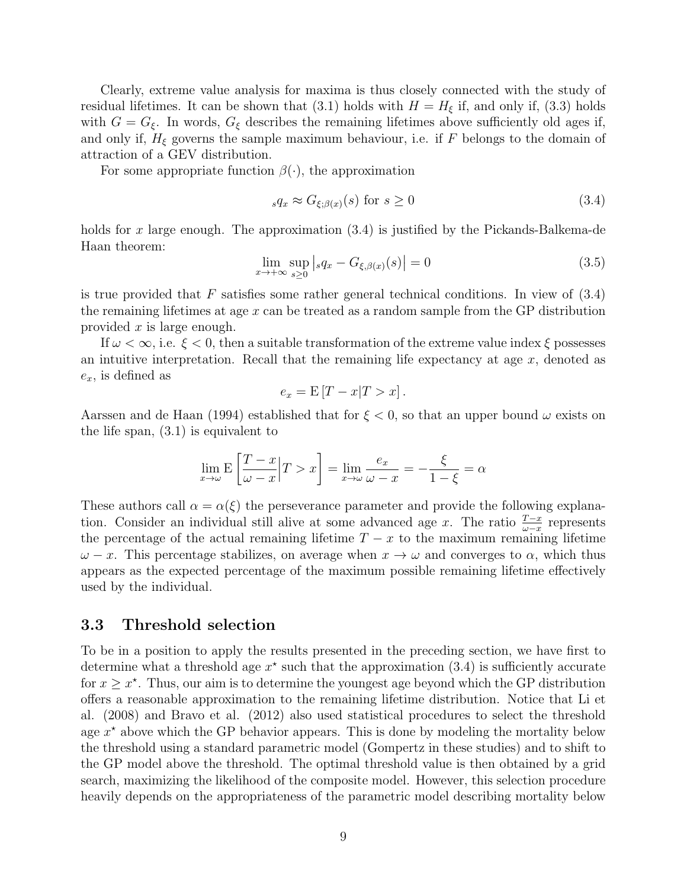Clearly, extreme value analysis for maxima is thus closely connected with the study of residual lifetimes. It can be shown that (3.1) holds with  $H = H_{\xi}$  if, and only if, (3.3) holds with  $G = G_{\xi}$ . In words,  $G_{\xi}$  describes the remaining lifetimes above sufficiently old ages if, and only if,  $H_{\xi}$  governs the sample maximum behaviour, i.e. if F belongs to the domain of attraction of a GEV distribution.

For some appropriate function  $\beta(\cdot)$ , the approximation

$$
s q_x \approx G_{\xi; \beta(x)}(s) \text{ for } s \ge 0 \tag{3.4}
$$

holds for x large enough. The approximation  $(3.4)$  is justified by the Pickands-Balkema-de Haan theorem:

$$
\lim_{x \to +\infty} \sup_{s \ge 0} |{}_{s}q_{x} - G_{\xi,\beta(x)}(s)| = 0
$$
\n(3.5)

is true provided that F satisfies some rather general technical conditions. In view of  $(3.4)$ the remaining lifetimes at age  $x$  can be treated as a random sample from the GP distribution provided  $x$  is large enough.

If  $\omega < \infty$ , i.e.  $\xi < 0$ , then a suitable transformation of the extreme value index  $\xi$  possesses an intuitive interpretation. Recall that the remaining life expectancy at age  $x$ , denoted as  $e_x$ , is defined as

$$
e_x = \mathbf{E}[T - x | T > x].
$$

Aarssen and de Haan (1994) established that for  $\xi < 0$ , so that an upper bound  $\omega$  exists on the life span, (3.1) is equivalent to

$$
\lim_{x \to \omega} \mathbf{E} \left[ \frac{T - x}{\omega - x} \middle| T > x \right] = \lim_{x \to \omega} \frac{e_x}{\omega - x} = -\frac{\xi}{1 - \xi} = \alpha
$$

These authors call  $\alpha = \alpha(\xi)$  the perseverance parameter and provide the following explanation. Consider an individual still alive at some advanced age x. The ratio  $\frac{T-x}{\omega-x}$  represents the percentage of the actual remaining lifetime  $T - x$  to the maximum remaining lifetime  $\omega - x$ . This percentage stabilizes, on average when  $x \to \omega$  and converges to  $\alpha$ , which thus appears as the expected percentage of the maximum possible remaining lifetime effectively used by the individual.

#### 3.3 Threshold selection

To be in a position to apply the results presented in the preceding section, we have first to determine what a threshold age  $x^*$  such that the approximation  $(3.4)$  is sufficiently accurate for  $x \geq x^*$ . Thus, our aim is to determine the youngest age beyond which the GP distribution offers a reasonable approximation to the remaining lifetime distribution. Notice that Li et al. (2008) and Bravo et al. (2012) also used statistical procedures to select the threshold age  $x^*$  above which the GP behavior appears. This is done by modeling the mortality below the threshold using a standard parametric model (Gompertz in these studies) and to shift to the GP model above the threshold. The optimal threshold value is then obtained by a grid search, maximizing the likelihood of the composite model. However, this selection procedure heavily depends on the appropriateness of the parametric model describing mortality below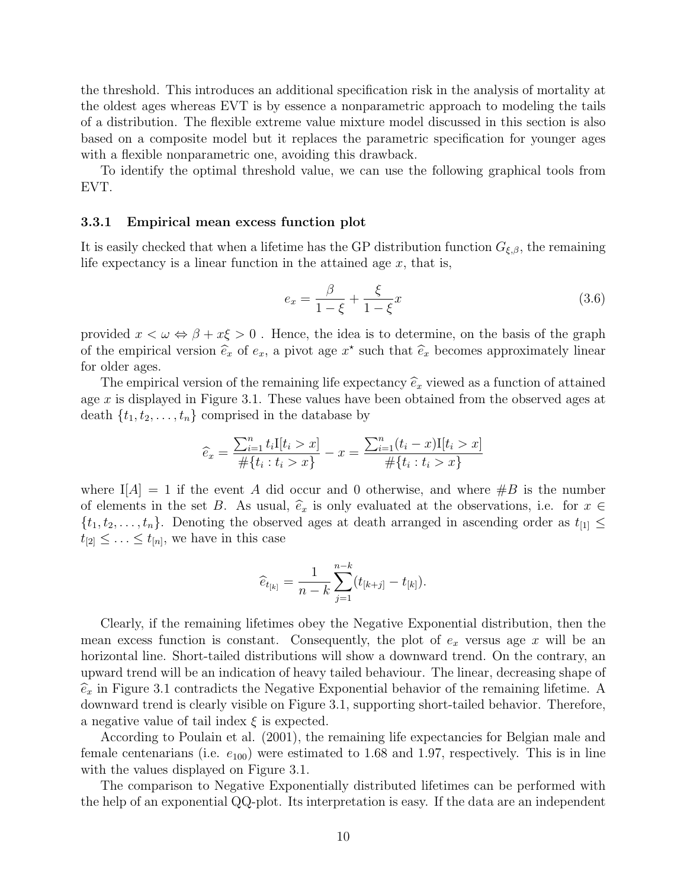the threshold. This introduces an additional specification risk in the analysis of mortality at the oldest ages whereas EVT is by essence a nonparametric approach to modeling the tails of a distribution. The flexible extreme value mixture model discussed in this section is also based on a composite model but it replaces the parametric specification for younger ages with a flexible nonparametric one, avoiding this drawback.

To identify the optimal threshold value, we can use the following graphical tools from EVT.

#### 3.3.1 Empirical mean excess function plot

It is easily checked that when a lifetime has the GP distribution function  $G_{\xi,\beta}$ , the remaining life expectancy is a linear function in the attained age  $x$ , that is,

$$
e_x = \frac{\beta}{1 - \xi} + \frac{\xi}{1 - \xi}x\tag{3.6}
$$

provided  $x < \omega \Leftrightarrow \beta + x\xi > 0$ . Hence, the idea is to determine, on the basis of the graph of the empirical version  $\hat{e}_x$  of  $e_x$ , a pivot age  $x^*$  such that  $\hat{e}_x$  becomes approximately linear for older ages for older ages.

The empirical version of the remaining life expectancy  $\hat{e}_x$  viewed as a function of attained age  $x$  is displayed in Figure 3.1. These values have been obtained from the observed ages at death  $\{t_1, t_2, \ldots, t_n\}$  comprised in the database by

$$
\widehat{e}_x = \frac{\sum_{i=1}^n t_i \mathbf{I}[t_i > x]}{\#\{t_i : t_i > x\}} - x = \frac{\sum_{i=1}^n (t_i - x)\mathbf{I}[t_i > x]}{\#\{t_i : t_i > x\}}
$$

where  $I[A] = 1$  if the event A did occur and 0 otherwise, and where  $\#B$  is the number of elements in the set B. As usual,  $\hat{e}_x$  is only evaluated at the observations, i.e. for  $x \in$  $\{t_1, t_2, \ldots, t_n\}$ . Denoting the observed ages at death arranged in ascending order as  $t_{[1]} \leq$  $t_{[2]} \leq \ldots \leq t_{[n]},$  we have in this case

$$
\widehat{e}_{t_{[k]}} = \frac{1}{n-k} \sum_{j=1}^{n-k} (t_{[k+j]} - t_{[k]}).
$$

Clearly, if the remaining lifetimes obey the Negative Exponential distribution, then the mean excess function is constant. Consequently, the plot of  $e_x$  versus age x will be an horizontal line. Short-tailed distributions will show a downward trend. On the contrary, an upward trend will be an indication of heavy tailed behaviour. The linear, decreasing shape of  $\widehat{e}_x$  in Figure 3.1 contradicts the Negative Exponential behavior of the remaining lifetime. A downward trend is clearly visible on Figure 3.1, supporting short-tailed behavior. Therefore, a negative value of tail index  $\xi$  is expected.

According to Poulain et al. (2001), the remaining life expectancies for Belgian male and female centenarians (i.e.  $e_{100}$ ) were estimated to 1.68 and 1.97, respectively. This is in line with the values displayed on Figure 3.1.

The comparison to Negative Exponentially distributed lifetimes can be performed with the help of an exponential QQ-plot. Its interpretation is easy. If the data are an independent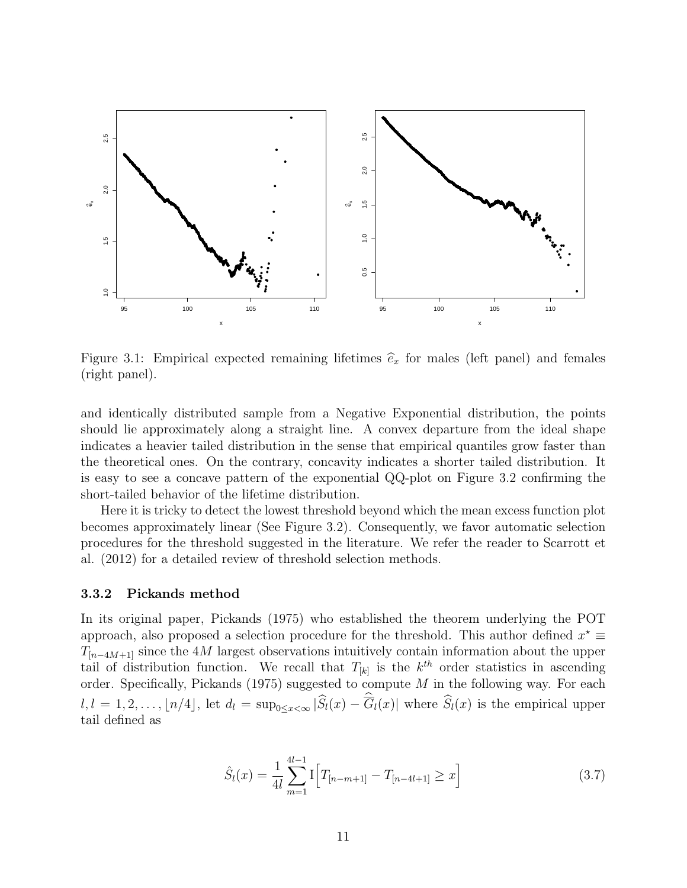

Figure 3.1: Empirical expected remaining lifetimes  $\hat{e}_x$  for males (left panel) and females (right panel).

and identically distributed sample from a Negative Exponential distribution, the points should lie approximately along a straight line. A convex departure from the ideal shape indicates a heavier tailed distribution in the sense that empirical quantiles grow faster than the theoretical ones. On the contrary, concavity indicates a shorter tailed distribution. It is easy to see a concave pattern of the exponential QQ-plot on Figure 3.2 confirming the short-tailed behavior of the lifetime distribution.

Here it is tricky to detect the lowest threshold beyond which the mean excess function plot becomes approximately linear (See Figure 3.2). Consequently, we favor automatic selection procedures for the threshold suggested in the literature. We refer the reader to Scarrott et al. (2012) for a detailed review of threshold selection methods.

#### 3.3.2 Pickands method

In its original paper, Pickands (1975) who established the theorem underlying the POT approach, also proposed a selection procedure for the threshold. This author defined  $x^* \equiv$  $T_{[n-4M+1]}$  since the 4M largest observations intuitively contain information about the upper tail of distribution function. We recall that  $T_{[k]}$  is the  $k^{th}$  order statistics in ascending order. Specifically, Pickands (1975) suggested to compute  $M$  in the following way. For each  $l, l = 1, 2, \ldots, \lfloor n/4 \rfloor$ , let  $d_l = \sup_{0 \le x < \infty} |S_l(x) - G_l(x)|$  where  $S_l(x)$  is the empirical upper tail defined as

$$
\hat{S}_l(x) = \frac{1}{4l} \sum_{m=1}^{4l-1} \mathbb{I} \Big[ T_{[n-m+1]} - T_{[n-4l+1]} \ge x \Big] \tag{3.7}
$$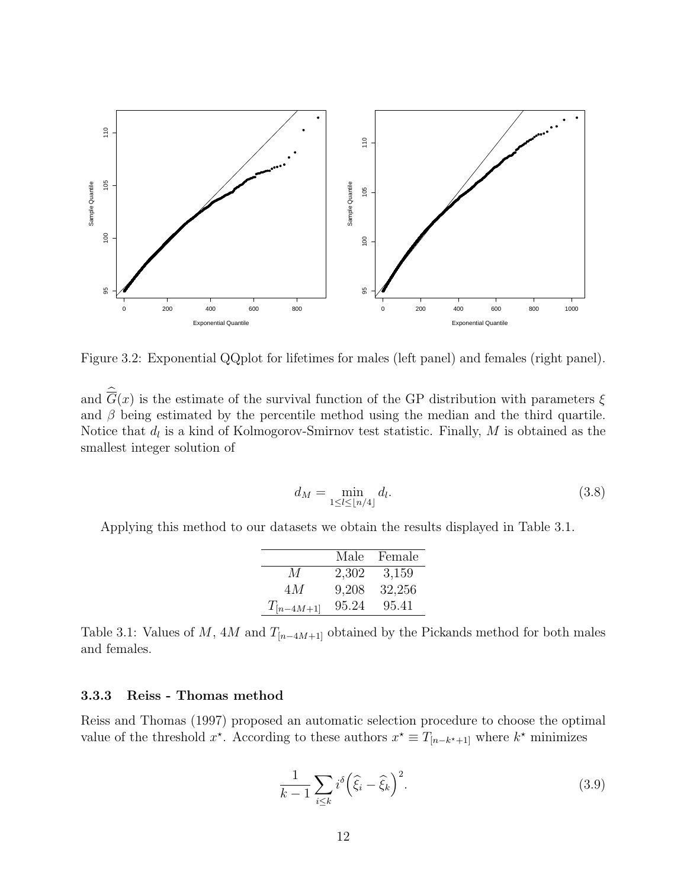

Figure 3.2: Exponential QQplot for lifetimes for males (left panel) and females (right panel).

and  $\hat{\overline{G}}(x)$  is the estimate of the survival function of the GP distribution with parameters  $\xi$ and  $\beta$  being estimated by the percentile method using the median and the third quartile. Notice that  $d_l$  is a kind of Kolmogorov-Smirnov test statistic. Finally, M is obtained as the smallest integer solution of

$$
d_M = \min_{1 \le l \le \lfloor n/4 \rfloor} d_l. \tag{3.8}
$$

Applying this method to our datasets we obtain the results displayed in Table 3.1.

|                | Male  | Female |
|----------------|-------|--------|
| M              | 2,302 | 3,159  |
| 4 M            | 9,208 | 32,256 |
| $T_{[n-4M+1]}$ | 95.24 | 95.41  |

Table 3.1: Values of  $M$ , 4 $M$  and  $T_{[n-4M+1]}$  obtained by the Pickands method for both males and females.

#### 3.3.3 Reiss - Thomas method

Reiss and Thomas (1997) proposed an automatic selection procedure to choose the optimal value of the threshold  $x^*$ . According to these authors  $x^* \equiv T_{[n-k^*+1]}$  where  $k^*$  minimizes

$$
\frac{1}{k-1} \sum_{i \le k} i^{\delta} \left( \widehat{\xi}_i - \widehat{\xi}_k \right)^2.
$$
 (3.9)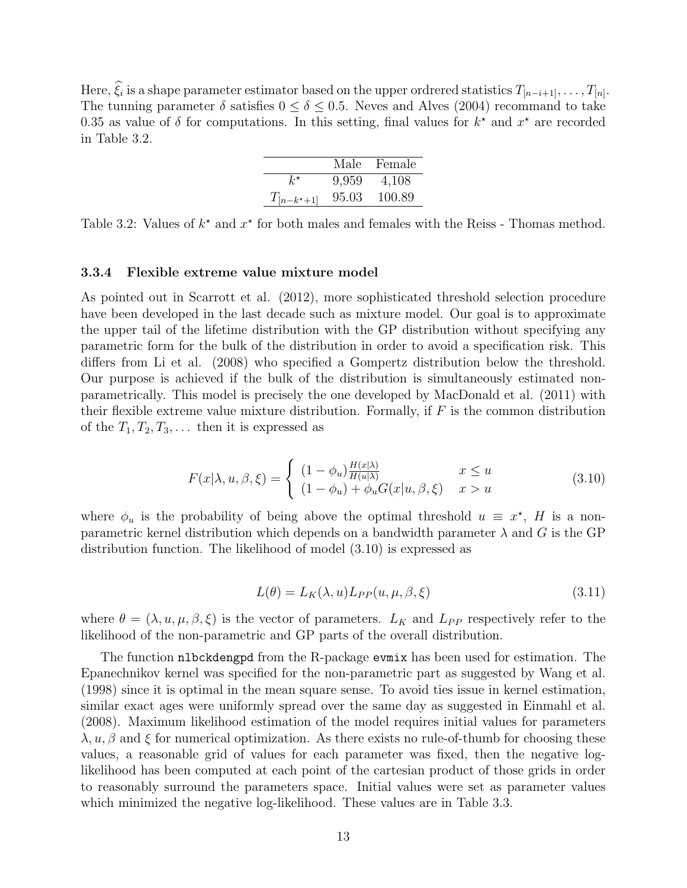Here,  $\xi_i$  is a shape parameter estimator based on the upper ordrered statistics  $T_{[n-i+1]}, \ldots, T_{[n]}$ . The tunning parameter  $\delta$  satisfies  $0 \le \delta \le 0.5$ . Neves and Alves (2004) recommand to take 0.35 as value of  $\delta$  for computations. In this setting, final values for  $k^*$  and  $x^*$  are recorded in Table 3.2.

|                 | Male  | Female |
|-----------------|-------|--------|
| $k^{\star}$     | 9,959 | 4,108  |
| $T_{[n-k^*+1]}$ | 95.03 | 100.89 |

Table 3.2: Values of  $k^*$  and  $x^*$  for both males and females with the Reiss - Thomas method.

#### 3.3.4 Flexible extreme value mixture model

As pointed out in Scarrott et al. (2012), more sophisticated threshold selection procedure have been developed in the last decade such as mixture model. Our goal is to approximate the upper tail of the lifetime distribution with the GP distribution without specifying any parametric form for the bulk of the distribution in order to avoid a specification risk. This differs from Li et al. (2008) who specified a Gompertz distribution below the threshold. Our purpose is achieved if the bulk of the distribution is simultaneously estimated nonparametrically. This model is precisely the one developed by MacDonald et al. (2011) with their flexible extreme value mixture distribution. Formally, if  $F$  is the common distribution of the  $T_1, T_2, T_3, \ldots$  then it is expressed as

$$
F(x|\lambda, u, \beta, \xi) = \begin{cases} (1 - \phi_u) \frac{H(x|\lambda)}{H(u|\lambda)} & x \le u \\ (1 - \phi_u) + \phi_u G(x|u, \beta, \xi) & x > u \end{cases}
$$
(3.10)

where  $\phi_u$  is the probability of being above the optimal threshold  $u \equiv x^*$ , H is a nonparametric kernel distribution which depends on a bandwidth parameter  $\lambda$  and G is the GP distribution function. The likelihood of model (3.10) is expressed as

$$
L(\theta) = L_K(\lambda, u)L_{PP}(u, \mu, \beta, \xi)
$$
\n(3.11)

where  $\theta = (\lambda, u, \mu, \beta, \xi)$  is the vector of parameters.  $L_K$  and  $L_{PP}$  respectively refer to the likelihood of the non-parametric and GP parts of the overall distribution.

The function nlbckdengpd from the R-package evmix has been used for estimation. The Epanechnikov kernel was specified for the non-parametric part as suggested by Wang et al. (1998) since it is optimal in the mean square sense. To avoid ties issue in kernel estimation, similar exact ages were uniformly spread over the same day as suggested in Einmahl et al. (2008). Maximum likelihood estimation of the model requires initial values for parameters  $\lambda, u, \beta$  and  $\xi$  for numerical optimization. As there exists no rule-of-thumb for choosing these values, a reasonable grid of values for each parameter was fixed, then the negative loglikelihood has been computed at each point of the cartesian product of those grids in order to reasonably surround the parameters space. Initial values were set as parameter values which minimized the negative log-likelihood. These values are in Table 3.3.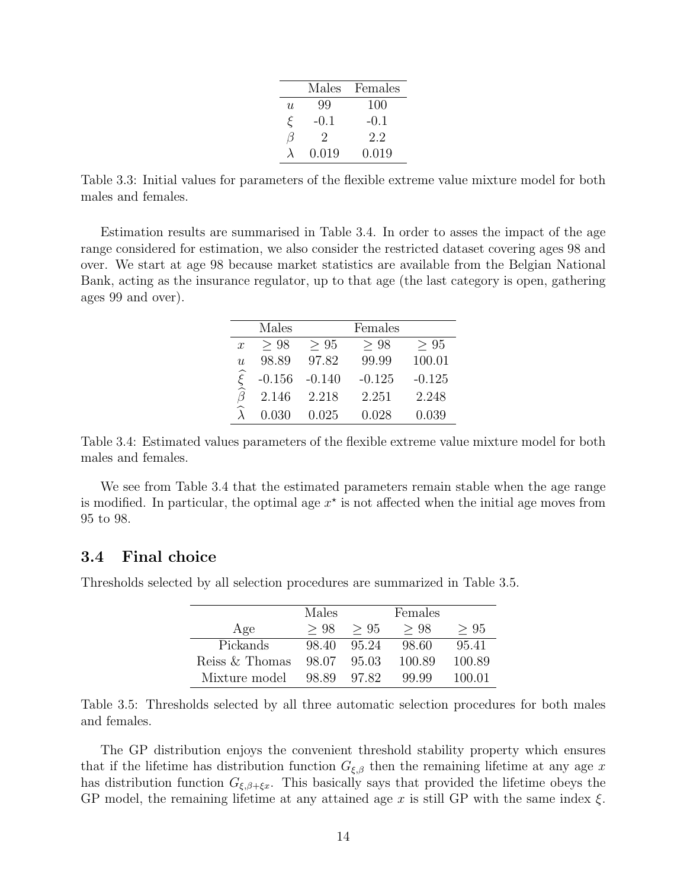|       | Males     | Females |
|-------|-----------|---------|
| U     | 99        | 100     |
| $\xi$ | $-()$ . 1 | $-0.1$  |
| 17    | 2         | 22      |
|       | 0.019     | 0.019   |

Table 3.3: Initial values for parameters of the flexible extreme value mixture model for both males and females.

Estimation results are summarised in Table 3.4. In order to asses the impact of the age range considered for estimation, we also consider the restricted dataset covering ages 98 and over. We start at age 98 because market statistics are available from the Belgian National Bank, acting as the insurance regulator, up to that age (the last category is open, gathering ages 99 and over).

|                                   | Males    |          | Females  |          |
|-----------------------------------|----------|----------|----------|----------|
| $\mathcal{X}$                     | >98      | > 95     | >98      | > 95     |
| u                                 | 98.89    | 97.82    | 99.99    | 100.01   |
| $\widehat{\xi}_{\widehat{\beta}}$ | $-0.156$ | $-0.140$ | $-0.125$ | $-0.125$ |
|                                   | 2.146    | 2.218    | 2.251    | 2.248    |
|                                   | 0.030    | 0.025    | 0.028    | 0.039    |

Table 3.4: Estimated values parameters of the flexible extreme value mixture model for both males and females.

We see from Table 3.4 that the estimated parameters remain stable when the age range is modified. In particular, the optimal age  $x^*$  is not affected when the initial age moves from 95 to 98.

#### 3.4 Final choice

Thresholds selected by all selection procedures are summarized in Table 3.5.

|                | Males |       | Females |        |
|----------------|-------|-------|---------|--------|
| Age            | > 98  | > 95  | >98     | > 95   |
| Pickands       | 98.40 | 95.24 | 98.60   | 95.41  |
| Reiss & Thomas | 98.07 | 95.03 | 100.89  | 100.89 |
| Mixture model  | 98.89 | 97.82 | 99.99   | 100.01 |

Table 3.5: Thresholds selected by all three automatic selection procedures for both males and females.

The GP distribution enjoys the convenient threshold stability property which ensures that if the lifetime has distribution function  $G_{\xi,\beta}$  then the remaining lifetime at any age x has distribution function  $G_{\xi,\beta+\xi x}$ . This basically says that provided the lifetime obeys the GP model, the remaining lifetime at any attained age x is still GP with the same index  $\xi$ .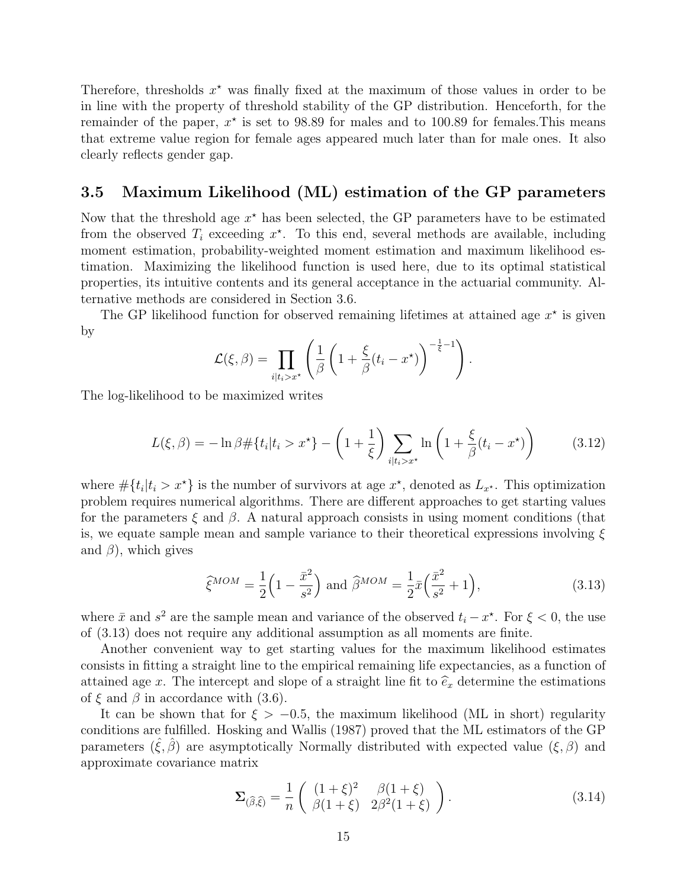Therefore, thresholds  $x^*$  was finally fixed at the maximum of those values in order to be in line with the property of threshold stability of the GP distribution. Henceforth, for the remainder of the paper,  $x^*$  is set to 98.89 for males and to 100.89 for females. This means that extreme value region for female ages appeared much later than for male ones. It also clearly reflects gender gap.

#### 3.5 Maximum Likelihood (ML) estimation of the GP parameters

Now that the threshold age  $x^*$  has been selected, the GP parameters have to be estimated from the observed  $T_i$  exceeding  $x^*$ . To this end, several methods are available, including moment estimation, probability-weighted moment estimation and maximum likelihood estimation. Maximizing the likelihood function is used here, due to its optimal statistical properties, its intuitive contents and its general acceptance in the actuarial community. Alternative methods are considered in Section 3.6.

The GP likelihood function for observed remaining lifetimes at attained age  $x^*$  is given by

$$
\mathcal{L}(\xi,\beta) = \prod_{i|t_i>x^*} \left( \frac{1}{\beta} \left( 1 + \frac{\xi}{\beta}(t_i - x^*) \right)^{-\frac{1}{\xi}-1} \right).
$$

The log-likelihood to be maximized writes

$$
L(\xi, \beta) = -\ln \beta \# \{ t_i | t_i > x^* \} - \left( 1 + \frac{1}{\xi} \right) \sum_{i | t_i > x^*} \ln \left( 1 + \frac{\xi}{\beta} (t_i - x^*) \right) \tag{3.12}
$$

where  $\#\{t_i | t_i > x^{\star}\}\$ is the number of survivors at age  $x^{\star}$ , denoted as  $L_{x^{\star}}$ . This optimization problem requires numerical algorithms. There are different approaches to get starting values for the parameters  $\xi$  and  $\beta$ . A natural approach consists in using moment conditions (that is, we equate sample mean and sample variance to their theoretical expressions involving  $\xi$ and  $\beta$ ), which gives

$$
\hat{\xi}^{MOM} = \frac{1}{2} \left( 1 - \frac{\bar{x}^2}{s^2} \right) \text{ and } \hat{\beta}^{MOM} = \frac{1}{2} \bar{x} \left( \frac{\bar{x}^2}{s^2} + 1 \right),\tag{3.13}
$$

where  $\bar{x}$  and  $s^2$  are the sample mean and variance of the observed  $t_i - x^*$ . For  $\xi < 0$ , the use of (3.13) does not require any additional assumption as all moments are finite.

Another convenient way to get starting values for the maximum likelihood estimates consists in fitting a straight line to the empirical remaining life expectancies, as a function of attained age x. The intercept and slope of a straight line fit to  $\hat{e}_x$  determine the estimations of  $\xi$  and  $\beta$  in accordance with (3.6).

It can be shown that for  $\xi > -0.5$ , the maximum likelihood (ML in short) regularity conditions are fulfilled. Hosking and Wallis (1987) proved that the ML estimators of the GP parameters  $(\hat{\xi}, \hat{\beta})$  are asymptotically Normally distributed with expected value  $(\xi, \beta)$  and approximate covariance matrix

$$
\Sigma_{(\widehat{\beta},\widehat{\xi})} = \frac{1}{n} \begin{pmatrix} (1+\xi)^2 & \beta(1+\xi) \\ \beta(1+\xi) & 2\beta^2(1+\xi) \end{pmatrix}.
$$
 (3.14)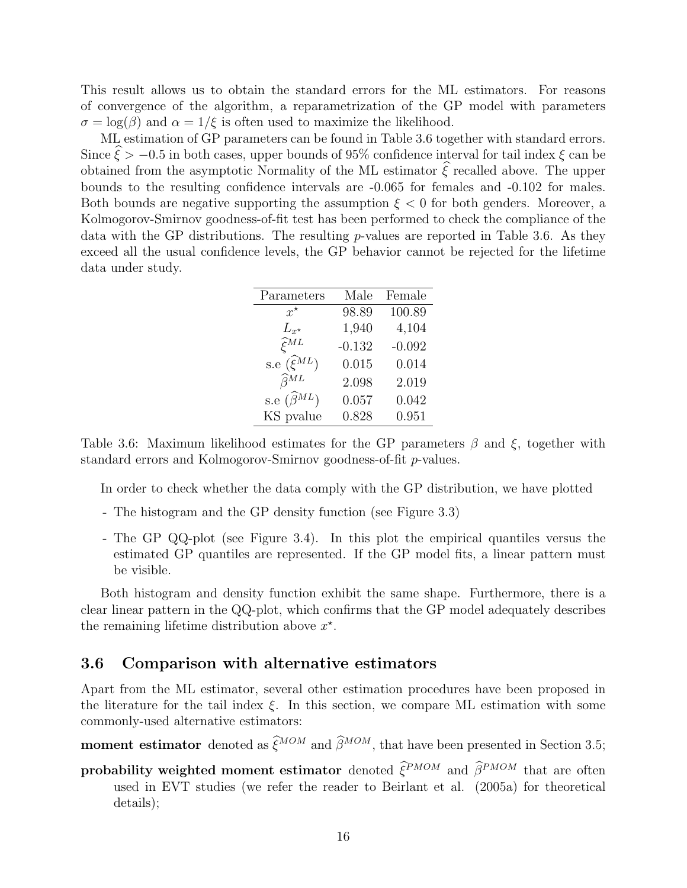This result allows us to obtain the standard errors for the ML estimators. For reasons of convergence of the algorithm, a reparametrization of the GP model with parameters  $\sigma = \log(\beta)$  and  $\alpha = 1/\xi$  is often used to maximize the likelihood.

ML estimation of GP parameters can be found in Table 3.6 together with standard errors. Since  $\hat{\xi} > -0.5$  in both cases, upper bounds of 95% confidence interval for tail index  $\xi$  can be obtained from the asymptotic Normality of the ML estimator  $\xi$  recalled above. The upper bounds to the resulting confidence intervals are -0.065 for females and -0.102 for males. Both bounds are negative supporting the assumption  $\xi < 0$  for both genders. Moreover, a Kolmogorov-Smirnov goodness-of-fit test has been performed to check the compliance of the data with the GP distributions. The resulting  $p$ -values are reported in Table 3.6. As they exceed all the usual confidence levels, the GP behavior cannot be rejected for the lifetime data under study.

| Parameters                   | Male     | Female   |
|------------------------------|----------|----------|
| $r^{\star}$                  | 98.89    | 100.89   |
| $L_{x^*}$                    | 1,940    | 4,104    |
| $\widehat{\zeta}^{ML}$       | $-0.132$ | $-0.092$ |
| s.e $(\widehat{\xi}^{ML})$   | 0.015    | 0.014    |
| $\widehat{\beta}^{ML}$       | 2.098    | 2.019    |
| s.e $(\widehat{\beta}^{ML})$ | 0.057    | 0.042    |
| KS pvalue                    | 0.828    | 0.951    |

Table 3.6: Maximum likelihood estimates for the GP parameters  $\beta$  and  $\xi$ , together with standard errors and Kolmogorov-Smirnov goodness-of-fit p-values.

In order to check whether the data comply with the GP distribution, we have plotted

- The histogram and the GP density function (see Figure 3.3)
- The GP QQ-plot (see Figure 3.4). In this plot the empirical quantiles versus the estimated GP quantiles are represented. If the GP model fits, a linear pattern must be visible.

Both histogram and density function exhibit the same shape. Furthermore, there is a clear linear pattern in the QQ-plot, which confirms that the GP model adequately describes the remaining lifetime distribution above  $x^*$ .

#### 3.6 Comparison with alternative estimators

Apart from the ML estimator, several other estimation procedures have been proposed in the literature for the tail index  $\xi$ . In this section, we compare ML estimation with some commonly-used alternative estimators:

**moment estimator** denoted as  $\hat{\xi}^{MOM}$  and  $\hat{\beta}^{MOM}$ , that have been presented in Section 3.5;

probability weighted moment estimator denoted  $\hat{\xi}^{PMOM}$  and  $\hat{\beta}^{PMOM}$  that are often used in EVT studies (we refer the reader to Beirlant et al. (2005a) for theoretical details);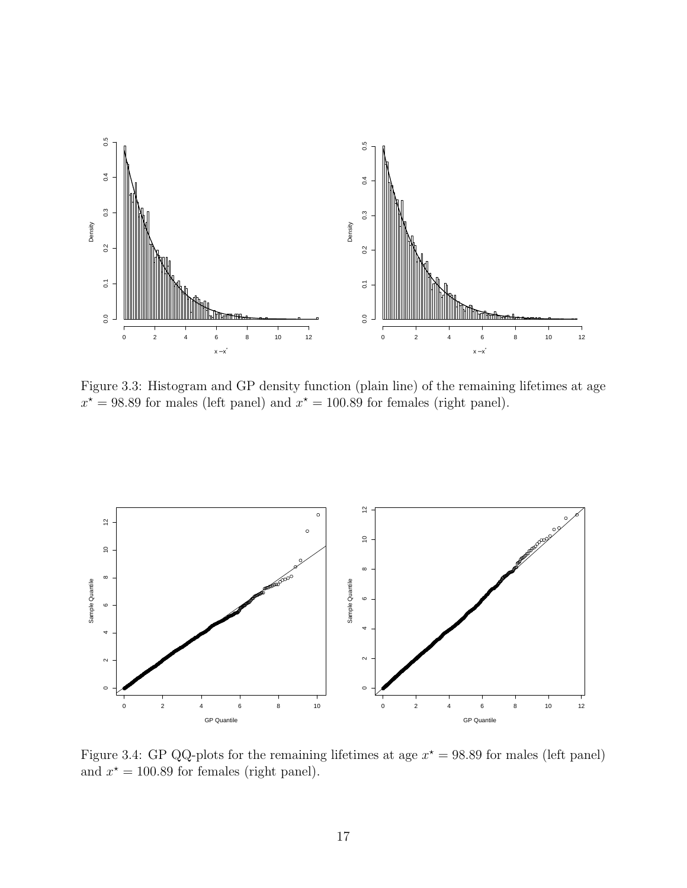

Figure 3.3: Histogram and GP density function (plain line) of the remaining lifetimes at age  $x^* = 98.89$  for males (left panel) and  $x^* = 100.89$  for females (right panel).



Figure 3.4: GP QQ-plots for the remaining lifetimes at age  $x^* = 98.89$  for males (left panel) and  $x^* = 100.89$  for females (right panel).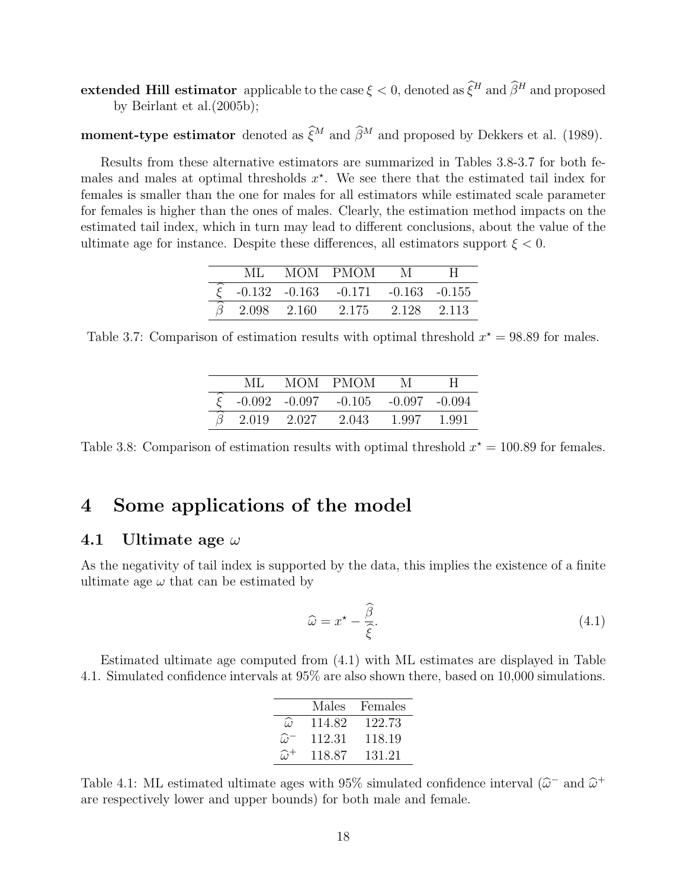### extended Hill estimator applicable to the case  $\xi < 0$ , denoted as  $\hat{\xi}^H$  and  $\hat{\beta}^H$  and proposed by Beirlant et al.(2005b);

# **moment-type estimator** denoted as  $\hat{\xi}^M$  and  $\hat{\beta}^M$  and proposed by Dekkers et al. (1989).

Results from these alternative estimators are summarized in Tables 3.8-3.7 for both females and males at optimal thresholds  $x^*$ . We see there that the estimated tail index for females is smaller than the one for males for all estimators while estimated scale parameter for females is higher than the ones of males. Clearly, the estimation method impacts on the estimated tail index, which in turn may lead to different conclusions, about the value of the ultimate age for instance. Despite these differences, all estimators support  $\xi < 0$ .

| ML.   |       | MOM PMOM                                 | M     |         |
|-------|-------|------------------------------------------|-------|---------|
|       |       | $\xi$ -0.132 -0.163 -0.171 -0.163 -0.155 |       |         |
| 2.098 | 2.160 | 2.175                                    | 2.128 | - 2.113 |

Table 3.7: Comparison of estimation results with optimal threshold  $x^* = 98.89$  for males.

|       |                   | MOM PMOM | M        |          |
|-------|-------------------|----------|----------|----------|
|       | $-0.092$ $-0.097$ | $-0.105$ | $-0.097$ | $-0.094$ |
| 2.019 | 2.027             | 2.043    | 1.997    | 1.991    |

Table 3.8: Comparison of estimation results with optimal threshold  $x^* = 100.89$  for females.

### 4 Some applications of the model

#### 4.1 Ultimate age  $\omega$

As the negativity of tail index is supported by the data, this implies the existence of a finite ultimate age  $\omega$  that can be estimated by

$$
\widehat{\omega} = x^* - \frac{\widehat{\beta}}{\widehat{\xi}}.\tag{4.1}
$$

Estimated ultimate age computed from (4.1) with ML estimates are displayed in Table 4.1. Simulated confidence intervals at 95% are also shown there, based on 10,000 simulations.

|                      | Males - | Females |
|----------------------|---------|---------|
| $\widehat{\omega}$   | 114.82  | 122.73  |
| $\widehat{\omega}^-$ | 112.31  | 118.19  |
| $\widehat{\omega}^+$ | 118.87  | 131.21  |
|                      |         |         |

Table 4.1: ML estimated ultimate ages with 95% simulated confidence interval  $(\hat{\omega}^-$  and  $\hat{\omega}^+$ are respectively lower and upper bounds) for both male and female.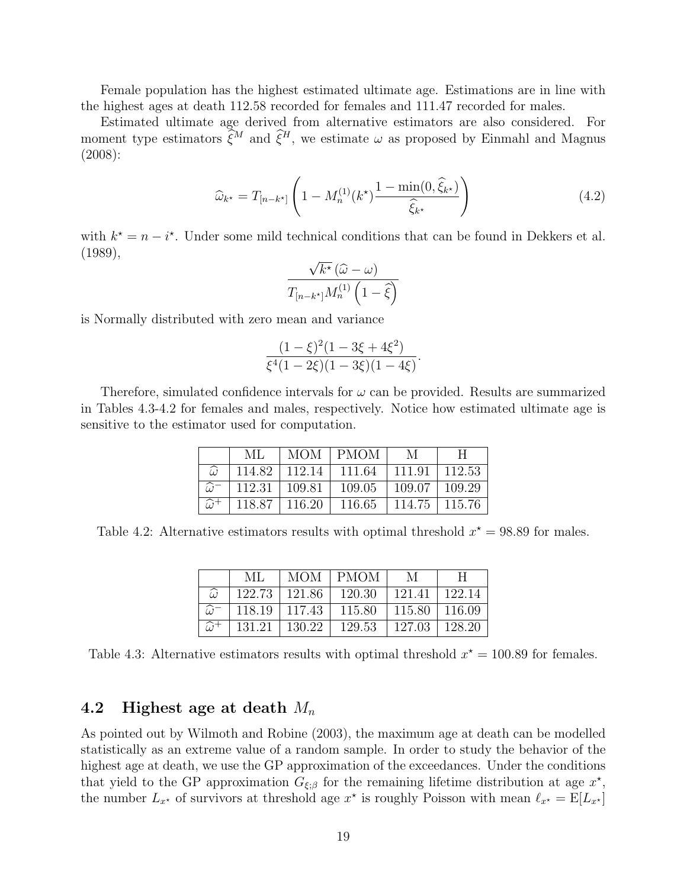Female population has the highest estimated ultimate age. Estimations are in line with the highest ages at death 112.58 recorded for females and 111.47 recorded for males.

Estimated ultimate age derived from alternative estimators are also considered. For moment type estimators  $\tilde{\xi}^M$  and  $\tilde{\xi}^H$ , we estimate  $\omega$  as proposed by Einmahl and Magnus (2008):

$$
\widehat{\omega}_{k^*} = T_{[n-k^*]} \left( 1 - M_n^{(1)}(k^*) \frac{1 - \min(0, \widehat{\xi}_{k^*})}{\widehat{\xi}_{k^*}} \right) \tag{4.2}
$$

with  $k^* = n - i^*$ . Under some mild technical conditions that can be found in Dekkers et al. (1989), √

$$
\frac{\sqrt{k^{\star}}\left(\widehat{\omega} - \omega\right)}{T_{\left[n-k^{\star}\right]} M_{n}^{\left(1\right)}\left(1 - \widehat{\xi}\right)}
$$

is Normally distributed with zero mean and variance

$$
\frac{(1-\xi)^2(1-3\xi+4\xi^2)}{\xi^4(1-2\xi)(1-3\xi)(1-4\xi)}.
$$

Therefore, simulated confidence intervals for  $\omega$  can be provided. Results are summarized in Tables 4.3-4.2 for females and males, respectively. Notice how estimated ultimate age is sensitive to the estimator used for computation.

|                             | ML.    | <b>MOM</b> | <b>PMOM</b> | M      |        |
|-----------------------------|--------|------------|-------------|--------|--------|
| $\overline{\hat{\omega}}$   | 114.82 | 112.14     | 111.64      | 111.91 | 112.53 |
| $\overline{\hat{\omega}^-}$ | 112.31 | 109.81     | 109.05      | 109.07 | 109.29 |
| $\widehat{\omega}^+$        | 118.87 | 116.20     | 116.65      | 114.75 | 115.76 |
|                             |        |            |             |        |        |

Table 4.2: Alternative estimators results with optimal threshold  $x^* = 98.89$  for males.

| $\widehat{\omega}$<br>122.73<br>121.86<br>120.30<br>121.41<br>122.14<br>$\hat{\omega}^-$<br>115.80<br>118.19<br>115.80<br>117.43<br>116.09<br>127.03<br>131.21<br>129.53<br>128.20<br>130.22 |                      | ML | <b>MOM</b> | <b>PMOM</b> | M | Н |
|----------------------------------------------------------------------------------------------------------------------------------------------------------------------------------------------|----------------------|----|------------|-------------|---|---|
|                                                                                                                                                                                              |                      |    |            |             |   |   |
|                                                                                                                                                                                              |                      |    |            |             |   |   |
|                                                                                                                                                                                              | $\widehat{\omega}^+$ |    |            |             |   |   |

Table 4.3: Alternative estimators results with optimal threshold  $x^* = 100.89$  for females.

#### 4.2 Highest age at death  $M_n$

As pointed out by Wilmoth and Robine (2003), the maximum age at death can be modelled statistically as an extreme value of a random sample. In order to study the behavior of the highest age at death, we use the GP approximation of the exceedances. Under the conditions that yield to the GP approximation  $G_{\xi;\beta}$  for the remaining lifetime distribution at age  $x^*$ , the number  $L_{x^*}$  of survivors at threshold age  $x^*$  is roughly Poisson with mean  $\ell_{x^*} = \mathbb{E}[L_{x^*}]$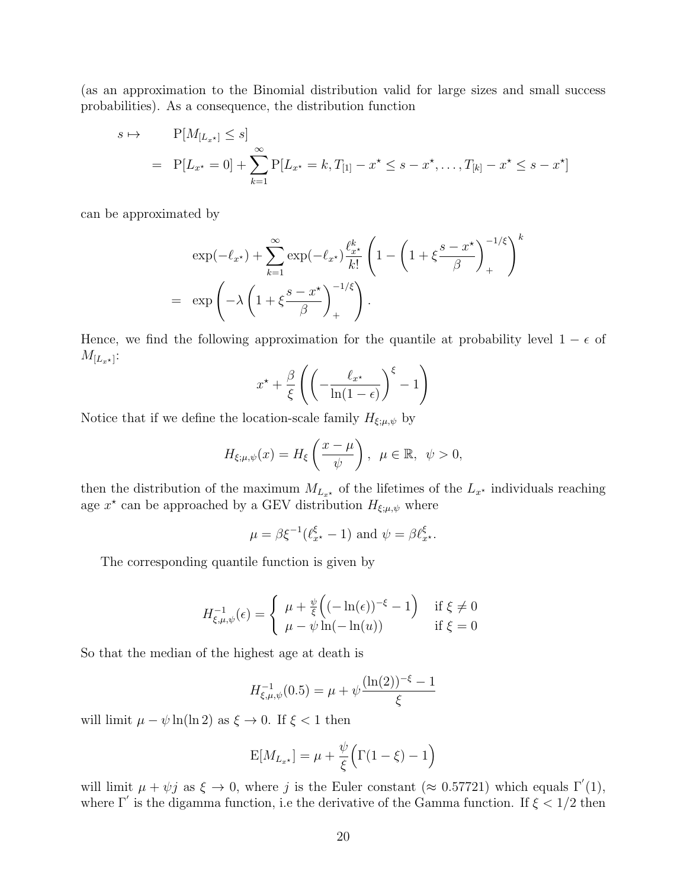(as an approximation to the Binomial distribution valid for large sizes and small success probabilities). As a consequence, the distribution function

$$
s \mapsto \qquad \mathcal{P}[M_{[L_{x^*}]} \le s]
$$
  
=  $\mathcal{P}[L_{x^*} = 0] + \sum_{k=1}^{\infty} \mathcal{P}[L_{x^*} = k, T_{[1]} - x^* \le s - x^*, \dots, T_{[k]} - x^* \le s - x^*]$ 

can be approximated by

$$
\exp(-\ell_{x^*}) + \sum_{k=1}^{\infty} \exp(-\ell_{x^*}) \frac{\ell_{x^*}^k}{k!} \left( 1 - \left( 1 + \xi \frac{s - x^*}{\beta} \right)_+^{-1/\xi} \right)^k
$$
  
= 
$$
\exp\left(-\lambda \left( 1 + \xi \frac{s - x^*}{\beta} \right)_+^{-1/\xi} \right).
$$

Hence, we find the following approximation for the quantile at probability level  $1 - \epsilon$  of  $M_{[L_{x^{\star}}]}$ :

$$
x^{\star} + \frac{\beta}{\xi} \left( \left( -\frac{\ell_{x^{\star}}}{\ln(1-\epsilon)} \right)^{\xi} - 1 \right)
$$

Notice that if we define the location-scale family  $H_{\xi;\mu,\psi}$  by

$$
H_{\xi;\mu,\psi}(x) = H_{\xi}\left(\frac{x-\mu}{\psi}\right), \ \mu \in \mathbb{R}, \ \psi > 0,
$$

then the distribution of the maximum  $M_{L_{x^*}}$  of the lifetimes of the  $L_{x^*}$  individuals reaching age  $x^*$  can be approached by a GEV distribution  $H_{\xi;\mu,\psi}$  where

$$
\mu = \beta \xi^{-1} (\ell_{x^{\star}}^{\xi} - 1) \text{ and } \psi = \beta \ell_{x^{\star}}^{\xi}.
$$

The corresponding quantile function is given by

$$
H_{\xi,\mu,\psi}^{-1}(\epsilon) = \begin{cases} \mu + \frac{\psi}{\xi} \left( (-\ln(\epsilon))^{-\xi} - 1 \right) & \text{if } \xi \neq 0 \\ \mu - \psi \ln(-\ln(u)) & \text{if } \xi = 0 \end{cases}
$$

So that the median of the highest age at death is

$$
H_{\xi,\mu,\psi}^{-1}(0.5) = \mu + \psi \frac{(\ln(2))^{-\xi} - 1}{\xi}
$$

will limit  $\mu - \psi \ln(\ln 2)$  as  $\xi \to 0$ . If  $\xi < 1$  then

$$
\mathrm{E}[M_{L_{x^*}}] = \mu + \frac{\psi}{\xi} \Big( \Gamma(1-\xi) - 1 \Big)
$$

will limit  $\mu + \psi j$  as  $\xi \to 0$ , where j is the Euler constant ( $\approx 0.57721$ ) which equals  $\Gamma'(1)$ , where  $\Gamma'$  is the digamma function, i.e the derivative of the Gamma function. If  $\xi < 1/2$  then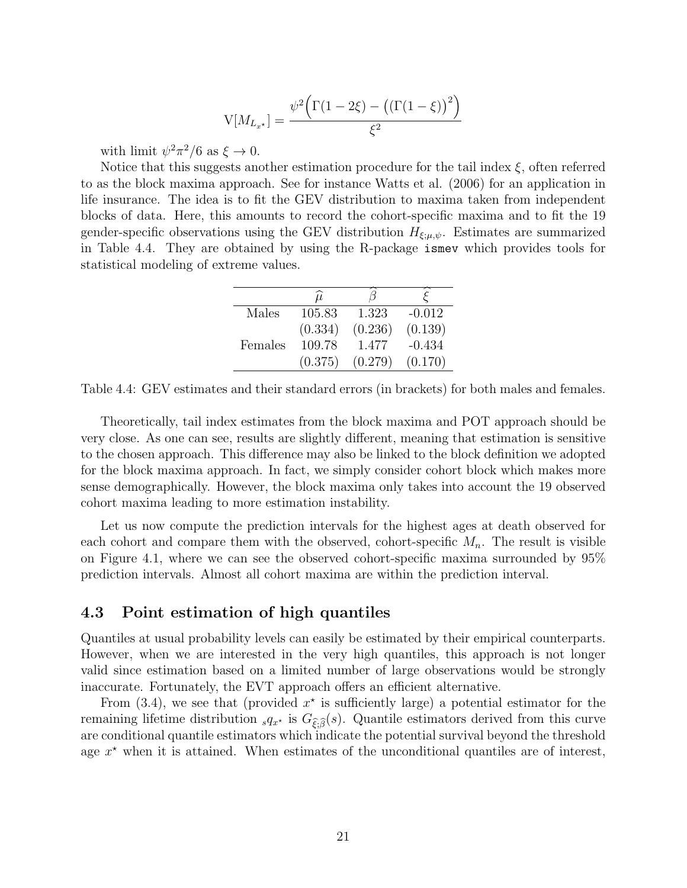$$
V[M_{L_{x^*}}] = \frac{\psi^2 (\Gamma(1 - 2\xi) - ((\Gamma(1 - \xi))^2)}{\xi^2}
$$

with limit  $\psi^2 \pi^2/6$  as  $\xi \to 0$ .

Notice that this suggests another estimation procedure for the tail index  $\xi$ , often referred to as the block maxima approach. See for instance Watts et al. (2006) for an application in life insurance. The idea is to fit the GEV distribution to maxima taken from independent blocks of data. Here, this amounts to record the cohort-specific maxima and to fit the 19 gender-specific observations using the GEV distribution  $H_{\xi;\mu,\psi}$ . Estimates are summarized in Table 4.4. They are obtained by using the R-package ismev which provides tools for statistical modeling of extreme values.

|         | $\mu$   |         |          |
|---------|---------|---------|----------|
| Males   | 105.83  | 1.323   | $-0.012$ |
|         | (0.334) | (0.236) | (0.139)  |
| Females | 109.78  | 1.477   | $-0.434$ |
|         | (0.375) | (0.279) | (0.170)  |

Table 4.4: GEV estimates and their standard errors (in brackets) for both males and females.

Theoretically, tail index estimates from the block maxima and POT approach should be very close. As one can see, results are slightly different, meaning that estimation is sensitive to the chosen approach. This difference may also be linked to the block definition we adopted for the block maxima approach. In fact, we simply consider cohort block which makes more sense demographically. However, the block maxima only takes into account the 19 observed cohort maxima leading to more estimation instability.

Let us now compute the prediction intervals for the highest ages at death observed for each cohort and compare them with the observed, cohort-specific  $M_n$ . The result is visible on Figure 4.1, where we can see the observed cohort-specific maxima surrounded by 95% prediction intervals. Almost all cohort maxima are within the prediction interval.

#### 4.3 Point estimation of high quantiles

Quantiles at usual probability levels can easily be estimated by their empirical counterparts. However, when we are interested in the very high quantiles, this approach is not longer valid since estimation based on a limited number of large observations would be strongly inaccurate. Fortunately, the EVT approach offers an efficient alternative.

From (3.4), we see that (provided  $x^*$  is sufficiently large) a potential estimator for the remaining lifetime distribution  $_{s}q_{x^*}$  is  $G_{\widehat{\epsilon},\widehat{\beta}}(s)$ . Quantile estimators derived from this curve are conditional quantile estimators which indicate the potential survival beyond the threshold age  $x^*$  when it is attained. When estimates of the unconditional quantiles are of interest,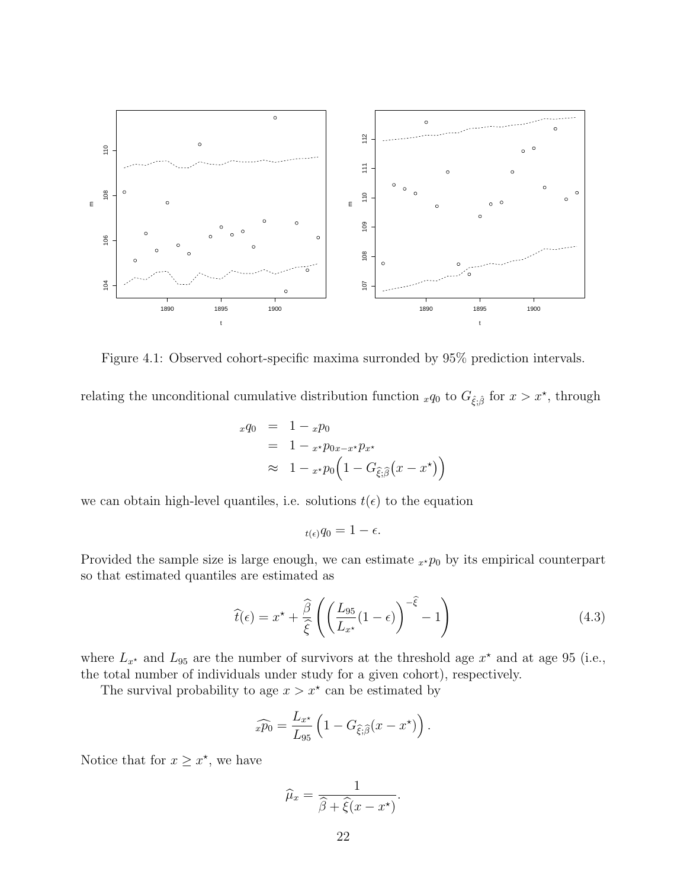

Figure 4.1: Observed cohort-specific maxima surronded by 95% prediction intervals.

relating the unconditional cumulative distribution function  $_xq_0$  to  $G_{\hat{\xi},\hat{\beta}}$  for  $x > x^*$ , through

$$
xq_0 = 1 - xp_0
$$
  
= 1 - x<sup>\*</sup> p<sub>0x-x</sub>\* p<sub>x\*</sub>  

$$
\approx 1 - x* p_0 \Big( 1 - G_{\widehat{\xi}; \widehat{\beta}} (x - x^*) \Big)
$$

we can obtain high-level quantiles, i.e. solutions  $t(\epsilon)$  to the equation

$$
t(\epsilon)q_0=1-\epsilon.
$$

Provided the sample size is large enough, we can estimate  $x * p_0$  by its empirical counterpart so that estimated quantiles are estimated as

$$
\widehat{t}(\epsilon) = x^{\star} + \frac{\widehat{\beta}}{\widehat{\xi}} \left( \left( \frac{L_{95}}{L_{x^{\star}}} (1 - \epsilon) \right)^{-\widehat{\xi}} - 1 \right)
$$
(4.3)

where  $L_{x^*}$  and  $L_{95}$  are the number of survivors at the threshold age  $x^*$  and at age 95 (i.e., the total number of individuals under study for a given cohort), respectively.

The survival probability to age  $x > x^*$  can be estimated by

$$
\widehat{x p_0} = \frac{L_{x^\star}}{L_{95}} \left( 1 - G_{\widehat{\xi}; \widehat{\beta}} (x - x^\star) \right).
$$

Notice that for  $x \geq x^*$ , we have

$$
\widehat{\mu}_x = \frac{1}{\widehat{\beta} + \widehat{\xi}(x - x^*)}.
$$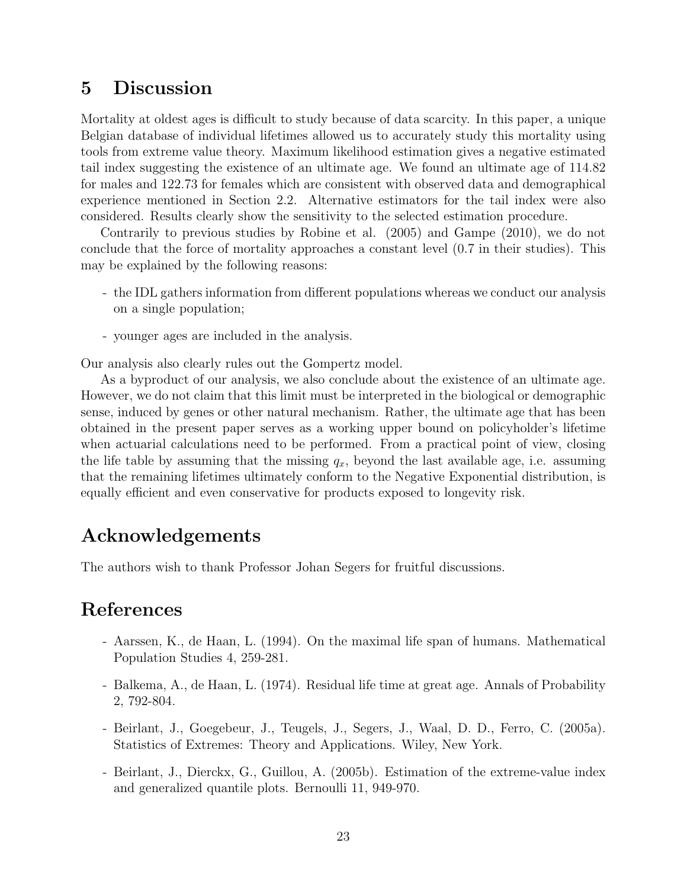## 5 Discussion

Mortality at oldest ages is difficult to study because of data scarcity. In this paper, a unique Belgian database of individual lifetimes allowed us to accurately study this mortality using tools from extreme value theory. Maximum likelihood estimation gives a negative estimated tail index suggesting the existence of an ultimate age. We found an ultimate age of 114.82 for males and 122.73 for females which are consistent with observed data and demographical experience mentioned in Section 2.2. Alternative estimators for the tail index were also considered. Results clearly show the sensitivity to the selected estimation procedure.

Contrarily to previous studies by Robine et al. (2005) and Gampe (2010), we do not conclude that the force of mortality approaches a constant level (0.7 in their studies). This may be explained by the following reasons:

- the IDL gathers information from different populations whereas we conduct our analysis on a single population;
- younger ages are included in the analysis.

Our analysis also clearly rules out the Gompertz model.

As a byproduct of our analysis, we also conclude about the existence of an ultimate age. However, we do not claim that this limit must be interpreted in the biological or demographic sense, induced by genes or other natural mechanism. Rather, the ultimate age that has been obtained in the present paper serves as a working upper bound on policyholder's lifetime when actuarial calculations need to be performed. From a practical point of view, closing the life table by assuming that the missing  $q_x$ , beyond the last available age, i.e. assuming that the remaining lifetimes ultimately conform to the Negative Exponential distribution, is equally efficient and even conservative for products exposed to longevity risk.

## Acknowledgements

The authors wish to thank Professor Johan Segers for fruitful discussions.

## References

- Aarssen, K., de Haan, L. (1994). On the maximal life span of humans. Mathematical Population Studies 4, 259-281.
- Balkema, A., de Haan, L. (1974). Residual life time at great age. Annals of Probability 2, 792-804.
- Beirlant, J., Goegebeur, J., Teugels, J., Segers, J., Waal, D. D., Ferro, C. (2005a). Statistics of Extremes: Theory and Applications. Wiley, New York.
- Beirlant, J., Dierckx, G., Guillou, A. (2005b). Estimation of the extreme-value index and generalized quantile plots. Bernoulli 11, 949-970.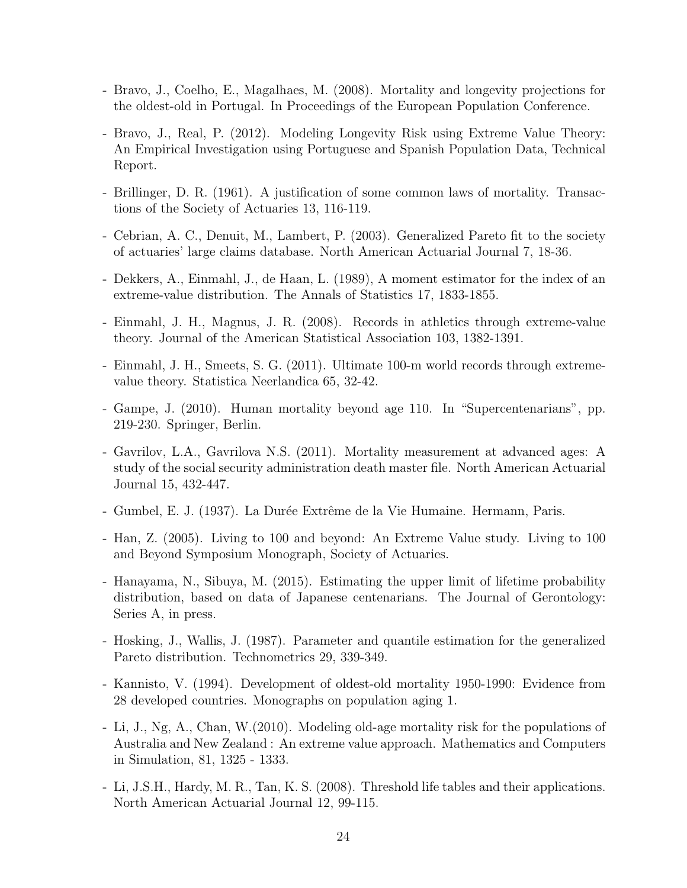- Bravo, J., Coelho, E., Magalhaes, M. (2008). Mortality and longevity projections for the oldest-old in Portugal. In Proceedings of the European Population Conference.
- Bravo, J., Real, P. (2012). Modeling Longevity Risk using Extreme Value Theory: An Empirical Investigation using Portuguese and Spanish Population Data, Technical Report.
- Brillinger, D. R. (1961). A justification of some common laws of mortality. Transactions of the Society of Actuaries 13, 116-119.
- Cebrian, A. C., Denuit, M., Lambert, P. (2003). Generalized Pareto fit to the society of actuaries' large claims database. North American Actuarial Journal 7, 18-36.
- Dekkers, A., Einmahl, J., de Haan, L. (1989), A moment estimator for the index of an extreme-value distribution. The Annals of Statistics 17, 1833-1855.
- Einmahl, J. H., Magnus, J. R. (2008). Records in athletics through extreme-value theory. Journal of the American Statistical Association 103, 1382-1391.
- Einmahl, J. H., Smeets, S. G. (2011). Ultimate 100-m world records through extremevalue theory. Statistica Neerlandica 65, 32-42.
- Gampe, J. (2010). Human mortality beyond age 110. In "Supercentenarians", pp. 219-230. Springer, Berlin.
- Gavrilov, L.A., Gavrilova N.S. (2011). Mortality measurement at advanced ages: A study of the social security administration death master file. North American Actuarial Journal 15, 432-447.
- Gumbel, E. J. (1937). La Durée Extrême de la Vie Humaine. Hermann, Paris.
- Han, Z. (2005). Living to 100 and beyond: An Extreme Value study. Living to 100 and Beyond Symposium Monograph, Society of Actuaries.
- Hanayama, N., Sibuya, M. (2015). Estimating the upper limit of lifetime probability distribution, based on data of Japanese centenarians. The Journal of Gerontology: Series A, in press.
- Hosking, J., Wallis, J. (1987). Parameter and quantile estimation for the generalized Pareto distribution. Technometrics 29, 339-349.
- Kannisto, V. (1994). Development of oldest-old mortality 1950-1990: Evidence from 28 developed countries. Monographs on population aging 1.
- Li, J., Ng, A., Chan, W.(2010). Modeling old-age mortality risk for the populations of Australia and New Zealand : An extreme value approach. Mathematics and Computers in Simulation, 81, 1325 - 1333.
- Li, J.S.H., Hardy, M. R., Tan, K. S. (2008). Threshold life tables and their applications. North American Actuarial Journal 12, 99-115.